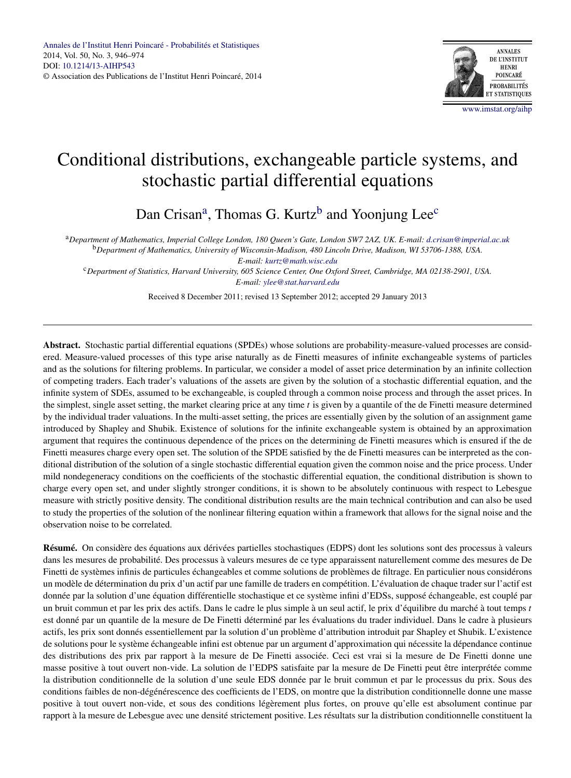

# Conditional distributions, exchangeable particle systems, and stochastic partial differential equations

Dan Crisan<sup>a</sup>, Thomas G. Kurtz<sup>b</sup> and Yoonjung Lee<sup>c</sup>

<sup>a</sup>*Department of Mathematics, Imperial College London, 180 Queen's Gate, London SW7 2AZ, UK. E-mail: [d.crisan@imperial.ac.uk](mailto:d.crisan@imperial.ac.uk)* <sup>b</sup>*Department of Mathematics, University of Wisconsin-Madison, 480 Lincoln Drive, Madison, WI 53706-1388, USA. E-mail: [kurtz@math.wisc.edu](mailto:kurtz@math.wisc.edu)*

<sup>c</sup>*Department of Statistics, Harvard University, 605 Science Center, One Oxford Street, Cambridge, MA 02138-2901, USA. E-mail: [ylee@stat.harvard.edu](mailto:ylee@stat.harvard.edu)*

Received 8 December 2011; revised 13 September 2012; accepted 29 January 2013

**Abstract.** Stochastic partial differential equations (SPDEs) whose solutions are probability-measure-valued processes are considered. Measure-valued processes of this type arise naturally as de Finetti measures of infinite exchangeable systems of particles and as the solutions for filtering problems. In particular, we consider a model of asset price determination by an infinite collection of competing traders. Each trader's valuations of the assets are given by the solution of a stochastic differential equation, and the infinite system of SDEs, assumed to be exchangeable, is coupled through a common noise process and through the asset prices. In the simplest, single asset setting, the market clearing price at any time *t* is given by a quantile of the de Finetti measure determined by the individual trader valuations. In the multi-asset setting, the prices are essentially given by the solution of an assignment game introduced by Shapley and Shubik. Existence of solutions for the infinite exchangeable system is obtained by an approximation argument that requires the continuous dependence of the prices on the determining de Finetti measures which is ensured if the de Finetti measures charge every open set. The solution of the SPDE satisfied by the de Finetti measures can be interpreted as the conditional distribution of the solution of a single stochastic differential equation given the common noise and the price process. Under mild nondegeneracy conditions on the coefficients of the stochastic differential equation, the conditional distribution is shown to charge every open set, and under slightly stronger conditions, it is shown to be absolutely continuous with respect to Lebesgue measure with strictly positive density. The conditional distribution results are the main technical contribution and can also be used to study the properties of the solution of the nonlinear filtering equation within a framework that allows for the signal noise and the observation noise to be correlated.

**Résumé.** On considère des équations aux dérivées partielles stochastiques (EDPS) dont les solutions sont des processus à valeurs dans les mesures de probabilité. Des processus à valeurs mesures de ce type apparaissent naturellement comme des mesures de De Finetti de systèmes infinis de particules échangeables et comme solutions de problèmes de filtrage. En particulier nous considérons un modèle de détermination du prix d'un actif par une famille de traders en compétition. L'évaluation de chaque trader sur l'actif est donnée par la solution d'une équation différentielle stochastique et ce système infini d'EDSs, supposé échangeable, est couplé par un bruit commun et par les prix des actifs. Dans le cadre le plus simple à un seul actif, le prix d'équilibre du marché à tout temps *t* est donné par un quantile de la mesure de De Finetti déterminé par les évaluations du trader individuel. Dans le cadre à plusieurs actifs, les prix sont donnés essentiellement par la solution d'un problème d'attribution introduit par Shapley et Shubik. L'existence de solutions pour le système échangeable infini est obtenue par un argument d'approximation qui nécessite la dépendance continue des distributions des prix par rapport à la mesure de De Finetti associée. Ceci est vrai si la mesure de De Finetti donne une masse positive à tout ouvert non-vide. La solution de l'EDPS satisfaite par la mesure de De Finetti peut être interprétée comme la distribution conditionnelle de la solution d'une seule EDS donnée par le bruit commun et par le processus du prix. Sous des conditions faibles de non-dégénérescence des coefficients de l'EDS, on montre que la distribution conditionnelle donne une masse positive à tout ouvert non-vide, et sous des conditions légèrement plus fortes, on prouve qu'elle est absolument continue par rapport à la mesure de Lebesgue avec une densité strictement positive. Les résultats sur la distribution conditionnelle constituent la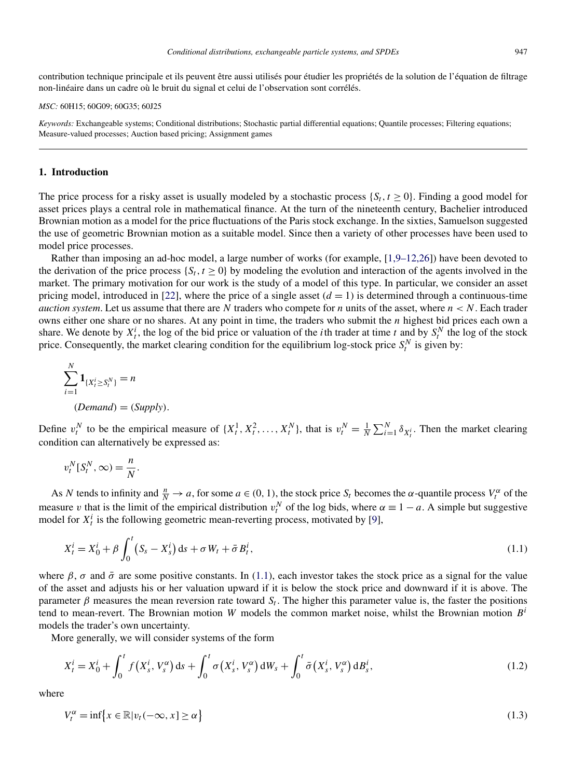<span id="page-1-0"></span>contribution technique principale et ils peuvent être aussi utilisés pour étudier les propriétés de la solution de l'équation de filtrage non-linéaire dans un cadre où le bruit du signal et celui de l'observation sont corrélés.

*MSC:* 60H15; 60G09; 60G35; 60J25

*Keywords:* Exchangeable systems; Conditional distributions; Stochastic partial differential equations; Quantile processes; Filtering equations; Measure-valued processes; Auction based pricing; Assignment games

# **1. Introduction**

The price process for a risky asset is usually modeled by a stochastic process  $\{S_t, t \geq 0\}$ . Finding a good model for asset prices plays a central role in mathematical finance. At the turn of the nineteenth century, Bachelier introduced Brownian motion as a model for the price fluctuations of the Paris stock exchange. In the sixties, Samuelson suggested the use of geometric Brownian motion as a suitable model. Since then a variety of other processes have been used to model price processes.

Rather than imposing an ad-hoc model, a large number of works (for example, [\[1,9–12,26\]](#page-27-0)) have been devoted to the derivation of the price process  $\{S_t, t \geq 0\}$  by modeling the evolution and interaction of the agents involved in the market. The primary motivation for our work is the study of a model of this type. In particular, we consider an asset pricing model, introduced in [\[22\]](#page-28-0), where the price of a single asset  $(d = 1)$  is determined through a continuous-time *auction system.* Let us assume that there are N traders who compete for *n* units of the asset, where  $n < N$ . Each trader owns either one share or no shares. At any point in time, the traders who submit the *n* highest bid prices each own a share. We denote by  $X_t^i$ , the log of the bid price or valuation of the *i*th trader at time *t* and by  $S_t^N$  the log of the stock price. Consequently, the market clearing condition for the equilibrium log-stock price  $S_t^N$  is given by:

$$
\sum_{i=1}^{N} \mathbf{1}_{\{X_t^i \ge S_t^N\}} = n
$$
  
(*Demand*) = (Supply).

Define  $v_t^N$  to be the empirical measure of  $\{X_t^1, X_t^2, ..., X_t^N\}$ , that is  $v_t^N = \frac{1}{N} \sum_{i=1}^N \delta_{X_t^i}$ . Then the market clearing condition can alternatively be expressed as:

$$
v_t^N[S_t^N,\infty) = \frac{n}{N}.
$$

As *N* tends to infinity and  $\frac{n}{N} \to a$ , for some  $a \in (0, 1)$ , the stock price  $S_t$  becomes the  $\alpha$ -quantile process  $V_t^{\alpha}$  of the measure *v* that is the limit of the empirical distribution  $v_t^N$  of the log bids, where  $\alpha \equiv 1 - a$ . A simple but suggestive model for  $X_t^i$  is the following geometric mean-reverting process, motivated by [\[9\]](#page-27-0),

$$
X_t^i = X_0^i + \beta \int_0^t (S_s - X_s^i) \, \mathrm{d}s + \sigma \, W_t + \bar{\sigma} \, B_t^i,\tag{1.1}
$$

where  $\beta$ ,  $\sigma$  and  $\bar{\sigma}$  are some positive constants. In (1.1), each investor takes the stock price as a signal for the value of the asset and adjusts his or her valuation upward if it is below the stock price and downward if it is above. The parameter  $\beta$  measures the mean reversion rate toward  $S_t$ . The higher this parameter value is, the faster the positions tend to mean-revert. The Brownian motion *W* models the common market noise, whilst the Brownian motion *B<sup>i</sup>* models the trader's own uncertainty.

More generally, we will consider systems of the form

$$
X_t^i = X_0^i + \int_0^t f(X_s^i, V_s^{\alpha}) \, ds + \int_0^t \sigma(X_s^i, V_s^{\alpha}) \, dW_s + \int_0^t \bar{\sigma}(X_s^i, V_s^{\alpha}) \, dB_s^i, \tag{1.2}
$$

where

$$
V_t^{\alpha} = \inf \{ x \in \mathbb{R} | v_t(-\infty, x] \ge \alpha \}
$$
\n(1.3)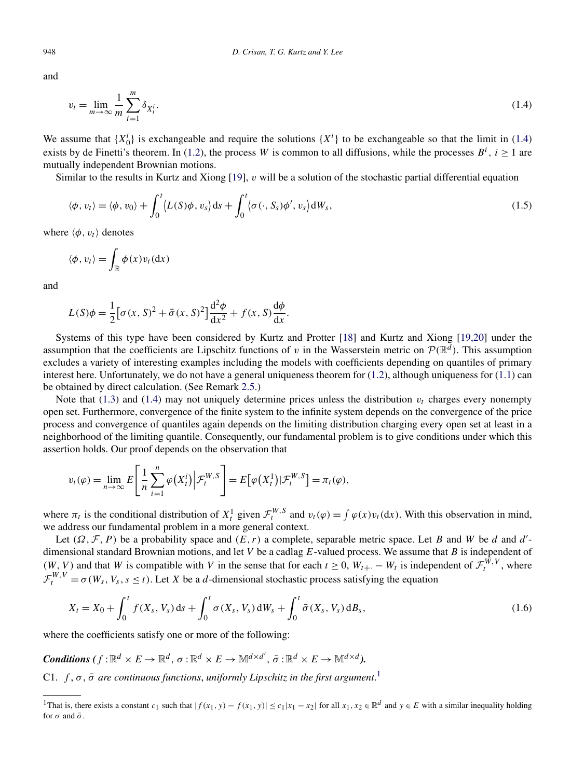and

$$
v_t = \lim_{m \to \infty} \frac{1}{m} \sum_{i=1}^{m} \delta_{X_t^i}.
$$
\n(1.4)

We assume that  $\{X_0^i\}$  is exchangeable and require the solutions  $\{X^i\}$  to be exchangeable so that the limit in (1.4) exists by de Finetti's theorem. In [\(1.2\)](#page-1-0), the process *W* is common to all diffusions, while the processes  $B^i$ ,  $i \ge 1$  are mutually independent Brownian motions.

Similar to the results in Kurtz and Xiong [\[19\]](#page-28-0), *v* will be a solution of the stochastic partial differential equation

$$
\langle \phi, v_t \rangle = \langle \phi, v_0 \rangle + \int_0^t \langle L(S)\phi, v_s \rangle ds + \int_0^t \langle \sigma(\cdot, S_s)\phi', v_s \rangle dW_s,
$$
\n(1.5)

where  $\langle \phi, v_t \rangle$  denotes

$$
\langle \phi, v_t \rangle = \int_{\mathbb{R}} \phi(x) v_t(\mathrm{d}x)
$$

and

$$
L(S)\phi = \frac{1}{2} \left[ \sigma(x, S)^2 + \bar{\sigma}(x, S)^2 \right] \frac{\mathrm{d}^2 \phi}{\mathrm{d}x^2} + f(x, S) \frac{\mathrm{d}\phi}{\mathrm{d}x}.
$$

Systems of this type have been considered by Kurtz and Protter [\[18\]](#page-28-0) and Kurtz and Xiong [\[19,20\]](#page-28-0) under the assumption that the coefficients are Lipschitz functions of *v* in the Wasserstein metric on  $\mathcal{P}(\mathbb{R}^d)$ . This assumption excludes a variety of interesting examples including the models with coefficients depending on quantiles of primary interest here. Unfortunately, we do not have a general uniqueness theorem for  $(1.2)$ , although uniqueness for  $(1.1)$  can be obtained by direct calculation. (See Remark [2.5.](#page-8-0))

Note that [\(1.3\)](#page-1-0) and (1.4) may not uniquely determine prices unless the distribution  $v_t$  charges every nonempty open set. Furthermore, convergence of the finite system to the infinite system depends on the convergence of the price process and convergence of quantiles again depends on the limiting distribution charging every open set at least in a neighborhood of the limiting quantile. Consequently, our fundamental problem is to give conditions under which this assertion holds. Our proof depends on the observation that

$$
v_t(\varphi) = \lim_{n \to \infty} E\left[\frac{1}{n} \sum_{i=1}^n \varphi(X_t^i) \middle| \mathcal{F}_t^{W,S}\right] = E\big[\varphi(X_t^1) \middle| \mathcal{F}_t^{W,S}\big] = \pi_t(\varphi),
$$

where  $\pi_t$  is the conditional distribution of  $X_t^1$  given  $\mathcal{F}_t^{W,S}$  and  $v_t(\varphi) = \int \varphi(x)v_t(\mathrm{d}x)$ . With this observation in mind, we address our fundamental problem in a more general context.

Let  $(\Omega, \mathcal{F}, P)$  be a probability space and  $(E, r)$  a complete, separable metric space. Let *B* and *W* be *d* and *d'*dimensional standard Brownian motions, and let *V* be a cadlag *E*-valued process. We assume that *B* is independent of *(W, V)* and that *W* is compatible with *V* in the sense that for each  $t \ge 0$ ,  $W_{t+1} - W_t$  is independent of  $\mathcal{F}_t^{W,V}$ , where  $\mathcal{F}_t^{W,V} = \sigma(W_s, V_s, s \leq t)$ . Let *X* be a *d*-dimensional stochastic process satisfying the equation

$$
X_t = X_0 + \int_0^t f(X_s, V_s) \, ds + \int_0^t \sigma(X_s, V_s) \, dW_s + \int_0^t \bar{\sigma}(X_s, V_s) \, dB_s,\tag{1.6}
$$

where the coefficients satisfy one or more of the following:

*Conditions*  $(f: \mathbb{R}^d \times E \to \mathbb{R}^d, \sigma: \mathbb{R}^d \times E \to \mathbb{M}^{d \times d'}, \bar{\sigma}: \mathbb{R}^d \times E \to \mathbb{M}^{d \times d}$ ).

C1.  $f, \sigma, \bar{\sigma}$  are continuous functions, uniformly Lipschitz in the first argument.<sup>1</sup>

<span id="page-2-0"></span>

<sup>&</sup>lt;sup>1</sup>That is, there exists a constant  $c_1$  such that  $|f(x_1, y) - f(x_1, y)| \le c_1 |x_1 - x_2|$  for all  $x_1, x_2 \in \mathbb{R}^d$  and  $y \in E$  with a similar inequality holding for  $\sigma$  and  $\bar{\sigma}$ .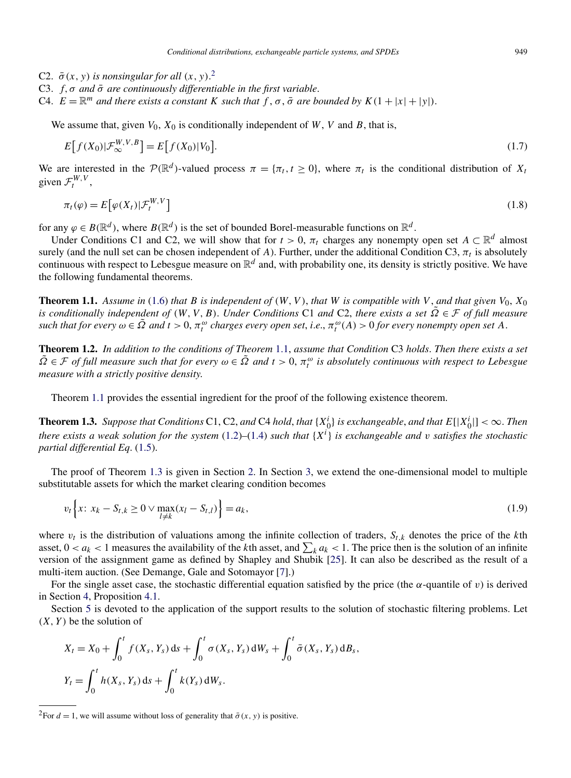- <span id="page-3-0"></span>C2.  $\bar{\sigma}(x, y)$  *is nonsingular for all*  $(x, y)$ .<sup>2</sup>
- C3. *f,σ and σ*¯ *are continuously differentiable in the first variable*.
- C4.  $E = \mathbb{R}^m$  *and there exists a constant K such that*  $f$ ,  $\sigma$ ,  $\bar{\sigma}$  *are bounded by*  $K(1 + |x| + |y|)$ .

We assume that, given  $V_0$ ,  $X_0$  is conditionally independent of *W*, *V* and *B*, that is,

$$
E[f(X_0)|\mathcal{F}_{\infty}^{W,V,B}] = E[f(X_0)|V_0].
$$
\n
$$
(1.7)
$$

We are interested in the  $\mathcal{P}(\mathbb{R}^d)$ -valued process  $\pi = {\pi_t, t \geq 0}$ , where  $\pi_t$  is the conditional distribution of  $X_t$ given  $\mathcal{F}^{W,V}_t$ ,

$$
\pi_t(\varphi) = E\big[\varphi(X_t)|\mathcal{F}_t^{W,V}\big] \tag{1.8}
$$

for any  $\varphi \in B(\mathbb{R}^d)$ , where  $B(\mathbb{R}^d)$  is the set of bounded Borel-measurable functions on  $\mathbb{R}^d$ .

Under Conditions C1 and C2, we will show that for  $t > 0$ ,  $\pi_t$  charges any nonempty open set  $A \subset \mathbb{R}^d$  almost surely (and the null set can be chosen independent of *A*). Further, under the additional Condition C3,  $\pi_t$  is absolutely continuous with respect to Lebesgue measure on  $\mathbb{R}^d$  and, with probability one, its density is strictly positive. We have the following fundamental theorems.

**Theorem 1.1.** Assume in [\(1.6\)](#page-2-0) that *B* is independent of  $(W, V)$ , that *W* is compatible with *V*, and that given  $V_0$ ,  $X_0$ *is conditionally independent of*  $(W, V, B)$ . *Under Conditions* C1 *and* C2, *there exists a set*  $\Omega \in \mathcal{F}$  *of full measure* such that for every  $\omega \in \tilde{\Omega}$  and  $t > 0$ ,  $\pi_t^{\omega}$  charges every open set, i.e.,  $\pi_t^{\omega}(A) > 0$  for every nonempty open set A.

**Theorem 1.2.** *In addition to the conditions of Theorem* 1.1, *assume that Condition* C3 *holds*. *Then there exists a set*  $\tilde{\Omega} \in \mathcal{F}$  *of full measure such that for every*  $\omega \in \tilde{\Omega}$  *and*  $t > 0$ ,  $\pi_t^{\omega}$  *is absolutely continuous with respect to Lebesgue measure with a strictly positive density*.

Theorem 1.1 provides the essential ingredient for the proof of the following existence theorem.

**Theorem 1.3.** Suppose that Conditions C1, C2, and C4 hold, that  $\{X_0^i\}$  is exchangeable, and that  $E[|X_0^i|] < \infty$ . Then *there exists a weak solution for the system* [\(1.2\)](#page-1-0)*–*[\(1.4\)](#page-2-0) *such that* {*X<sup>i</sup>* } *is exchangeable and v satisfies the stochastic partial differential Eq*. [\(1.5\)](#page-2-0).

The proof of Theorem 1.3 is given in Section [2.](#page-4-0) In Section [3,](#page-9-0) we extend the one-dimensional model to multiple substitutable assets for which the market clearing condition becomes

$$
v_t \left\{ x \colon x_k - S_{t,k} \ge 0 \vee \max_{l \ne k} (x_l - S_{t,l}) \right\} = a_k,
$$
\n(1.9)

where  $v_t$  is the distribution of valuations among the infinite collection of traders,  $S_{t,k}$  denotes the price of the *k*th asset,  $0 < a_k < 1$  measures the availability of the *k*th asset, and  $\sum_k a_k < 1$ . The price then is the solution of an infinite version of the assignment game as defined by Shapley and Shubik [\[25\]](#page-28-0). It can also be described as the result of a multi-item auction. (See Demange, Gale and Sotomayor [\[7\]](#page-27-0).)

For the single asset case, the stochastic differential equation satisfied by the price (the *α*-quantile of *v*) is derived in Section [4,](#page-11-0) Proposition [4.1.](#page-12-0)

Section [5](#page-15-0) is devoted to the application of the support results to the solution of stochastic filtering problems. Let *(X,Y)* be the solution of

$$
X_t = X_0 + \int_0^t f(X_s, Y_s) ds + \int_0^t \sigma(X_s, Y_s) dW_s + \int_0^t \bar{\sigma}(X_s, Y_s) dB_s,
$$
  

$$
Y_t = \int_0^t h(X_s, Y_s) ds + \int_0^t k(Y_s) dW_s.
$$

<sup>&</sup>lt;sup>2</sup>For  $d = 1$ , we will assume without loss of generality that  $\bar{\sigma}(x, y)$  is positive.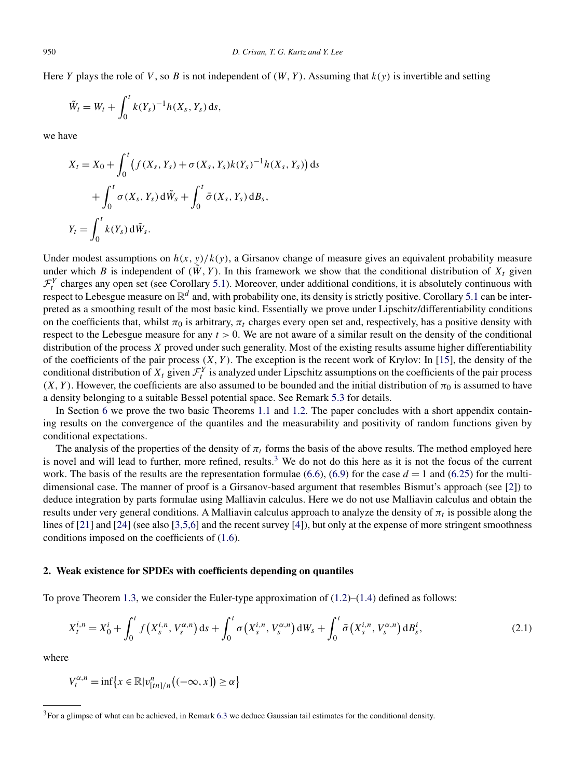<span id="page-4-0"></span>Here *Y* plays the role of *V*, so *B* is not independent of  $(W, Y)$ . Assuming that  $k(y)$  is invertible and setting

$$
\tilde{W}_t = W_t + \int_0^t k(Y_s)^{-1} h(X_s, Y_s) \, ds,
$$

we have

$$
X_t = X_0 + \int_0^t \left( f(X_s, Y_s) + \sigma(X_s, Y_s) k(Y_s)^{-1} h(X_s, Y_s) \right) ds
$$
  
+ 
$$
\int_0^t \sigma(X_s, Y_s) d\tilde{W}_s + \int_0^t \bar{\sigma}(X_s, Y_s) dB_s,
$$
  

$$
Y_t = \int_0^t k(Y_s) d\tilde{W}_s.
$$

Under modest assumptions on  $h(x, y)/k(y)$ , a Girsanov change of measure gives an equivalent probability measure under which *B* is independent of  $(\tilde{W}, Y)$ . In this framework we show that the conditional distribution of  $X_t$  given  $\mathcal{F}^Y_t$  charges any open set (see Corollary [5.1\)](#page-15-0). Moreover, under additional conditions, it is absolutely continuous with respect to Lebesgue measure on  $\mathbb{R}^d$  and, with probability one, its density is strictly positive. Corollary [5.1](#page-15-0) can be interpreted as a smoothing result of the most basic kind. Essentially we prove under Lipschitz/differentiability conditions on the coefficients that, whilst  $\pi_0$  is arbitrary,  $\pi_t$  charges every open set and, respectively, has a positive density with respect to the Lebesgue measure for any *t >* 0. We are not aware of a similar result on the density of the conditional distribution of the process *X* proved under such generality. Most of the existing results assume higher differentiability of the coefficients of the pair process  $(X, Y)$ . The exception is the recent work of Krylov: In [\[15\]](#page-28-0), the density of the conditional distribution of  $X_t$  given  $\mathcal{F}_t^Y$  is analyzed under Lipschitz assumptions on the coefficients of the pair process  $(X, Y)$ . However, the coefficients are also assumed to be bounded and the initial distribution of  $\pi_0$  is assumed to have a density belonging to a suitable Bessel potential space. See Remark [5.3](#page-16-0) for details.

In Section [6](#page-16-0) we prove the two basic Theorems [1.1](#page-3-0) and [1.2.](#page-3-0) The paper concludes with a short appendix containing results on the convergence of the quantiles and the measurability and positivity of random functions given by conditional expectations.

The analysis of the properties of the density of  $\pi_t$  forms the basis of the above results. The method employed here is novel and will lead to further, more refined, results.<sup>3</sup> We do not do this here as it is not the focus of the current work. The basis of the results are the representation formulae  $(6.6)$ ,  $(6.9)$  for the case  $d = 1$  and  $(6.25)$  for the multidimensional case. The manner of proof is a Girsanov-based argument that resembles Bismut's approach (see [\[2\]](#page-27-0)) to deduce integration by parts formulae using Malliavin calculus. Here we do not use Malliavin calculus and obtain the results under very general conditions. A Malliavin calculus approach to analyze the density of  $\pi_t$  is possible along the lines of [\[21\]](#page-28-0) and [\[24\]](#page-28-0) (see also [\[3,5,6\]](#page-27-0) and the recent survey [\[4\]](#page-27-0)), but only at the expense of more stringent smoothness conditions imposed on the coefficients of [\(1.6\)](#page-2-0).

## **2. Weak existence for SPDEs with coefficients depending on quantiles**

To prove Theorem [1.3,](#page-3-0) we consider the Euler-type approximation of  $(1.2)$ – $(1.4)$  defined as follows:

$$
X_t^{i,n} = X_0^i + \int_0^t f(X_s^{i,n}, V_s^{\alpha,n}) \, ds + \int_0^t \sigma(X_s^{i,n}, V_s^{\alpha,n}) \, dW_s + \int_0^t \bar{\sigma}(X_s^{i,n}, V_s^{\alpha,n}) \, dB_s^i, \tag{2.1}
$$

where

$$
V_t^{\alpha,n} = \inf \{ x \in \mathbb{R} | v_{[tn]/n}^n \big( (-\infty, x] \big) \ge \alpha \}
$$

 $3$ For a glimpse of what can be achieved, in Remark [6.3](#page-21-0) we deduce Gaussian tail estimates for the conditional density.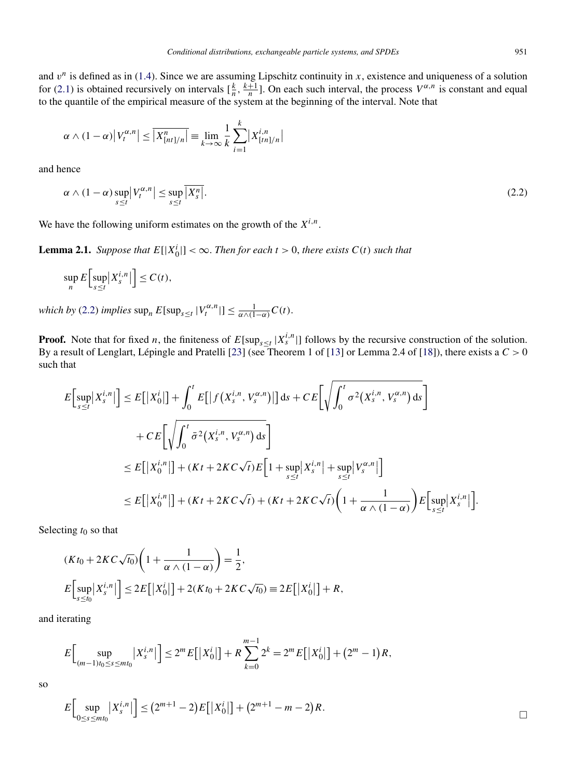and  $v^n$  is defined as in [\(1.4\)](#page-2-0). Since we are assuming Lipschitz continuity in *x*, existence and uniqueness of a solution for [\(2.1\)](#page-4-0) is obtained recursively on intervals  $\left[\frac{k}{n}, \frac{k+1}{n}\right]$ . On each such interval, the process  $V^{\alpha, n}$  is constant and equal to the quantile of the empirical measure of the system at the beginning of the interval. Note that

$$
\alpha \wedge (1-\alpha) |V_t^{\alpha,n}| \leq \overline{|X_{[nt]/n}^n|} \equiv \lim_{k \to \infty} \frac{1}{k} \sum_{i=1}^k |X_{[tn]/n}^{i,n}|
$$

and hence

$$
\alpha \wedge (1 - \alpha) \sup_{s \le t} |V_t^{\alpha, n}| \le \sup_{s \le t} \overline{|X_s^n|}.\tag{2.2}
$$

We have the following uniform estimates on the growth of the  $X^{i,n}$ .

**Lemma 2.1.** *Suppose that*  $E[|X_0^i|] < \infty$ . *Then for each*  $t > 0$ , *there exists*  $C(t)$  *such that* 

$$
\sup_n E\Big[\sup_{s\leq t} \big|X_s^{i,n}\big|\Big] \leq C(t),
$$

*which by* (2.2) *implies*  $\sup_n E[\sup_{s \le t} |V_t^{\alpha,n}|] \le \frac{1}{\alpha \wedge (1-\alpha)} C(t)$ .

**Proof.** Note that for fixed *n*, the finiteness of  $E[\sup_{s \le t} |X_s^{i,n}|]$  follows by the recursive construction of the solution. By a result of Lenglart, Lépingle and Pratelli [\[23\]](#page-28-0) (see Theorem 1 of [\[13\]](#page-27-0) or Lemma 2.4 of [\[18\]](#page-28-0)), there exists a *C >* 0 such that

$$
E\Big[\sup_{s\leq t}|X_{s}^{i,n}|\Big] \leq E\Big[\big|X_{0}^{i}\big|\Big] + \int_{0}^{t} E\Big[\big|f\big(X_{s}^{i,n},V_{s}^{\alpha,n}\big)\big|\Big]ds + CE\Big[\sqrt{\int_{0}^{t} \sigma^{2}\big(X_{s}^{i,n},V_{s}^{\alpha,n}\big)ds}\Big] + CE\Big[\sqrt{\int_{0}^{t} \bar{\sigma}^{2}\big(X_{s}^{i,n},V_{s}^{\alpha,n}\big)ds}\Big] \leq E\Big[\big|X_{0}^{i,n}\big|\Big] + (Kt + 2KC\sqrt{t})E\Big[1 + \sup_{s\leq t}|X_{s}^{i,n}| + \sup_{s\leq t}|V_{s}^{\alpha,n}|\Big] \leq E\Big[\big|X_{0}^{i,n}\big|\Big] + (Kt + 2KC\sqrt{t}) + (Kt + 2KC\sqrt{t})\Big(1 + \frac{1}{\alpha \wedge (1 - \alpha)}\Big)E\Big[\sup_{s\leq t}|X_{s}^{i,n}|\Big].
$$

Selecting *t*<sup>0</sup> so that

$$
(Kt_0 + 2KC\sqrt{t_0})\left(1 + \frac{1}{\alpha \wedge (1 - \alpha)}\right) = \frac{1}{2},
$$
  

$$
E\left[\sup_{s \le t_0} |X_s^{i,n}| \right] \le 2E\left[|X_0^{i}| \right] + 2(Kt_0 + 2KC\sqrt{t_0}) \equiv 2E\left[|X_0^{i}| \right] + R,
$$

and iterating

$$
E\Big[\sup_{(m-1)t_0\leq s\leq mt_0}\big|X_s^{i,n}\big|\Big]\leq 2^m E\big[\big|X_0^i\big|\big]+R\sum_{k=0}^{m-1}2^k=2^m E\big[\big|X_0^i\big|\big]+(2^m-1)R,
$$

so

$$
E\Big[\sup_{0\leq s\leq m t_0}|X_s^{i,n}|\Big]\leq (2^{m+1}-2)E\big[|X_0^i|\big]+(2^{m+1}-m-2)R.
$$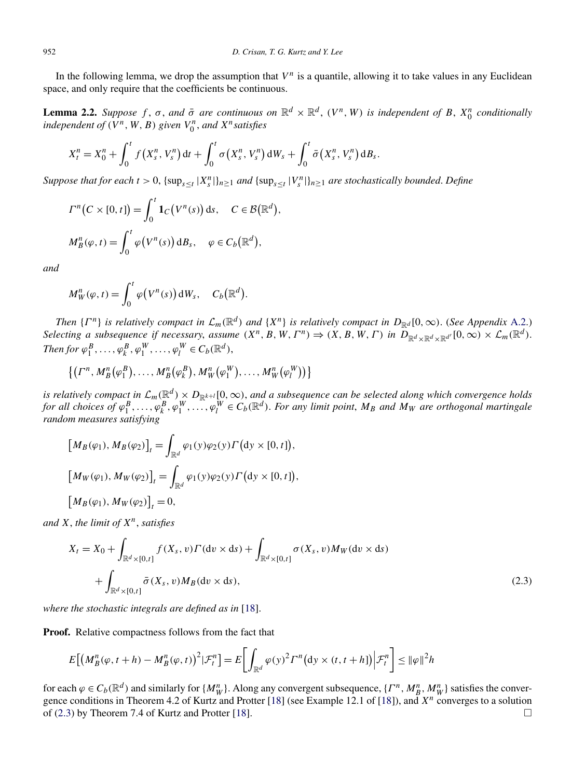<span id="page-6-0"></span>In the following lemma, we drop the assumption that  $V^n$  is a quantile, allowing it to take values in any Euclidean space, and only require that the coefficients be continuous.

**Lemma 2.2.** *Suppose*  $f$ ,  $\sigma$ , and  $\bar{\sigma}$  are continuous on  $\mathbb{R}^d \times \mathbb{R}^d$ ,  $(V^n, W)$  is independent of  $B$ ,  $X_0^n$  conditionally *independent of*  $(V^n, W, B)$  *given*  $V_0^n$ *, and*  $X^n$ *satisfies* 

*,*

$$
X_{t}^{n}=X_{0}^{n}+\int_{0}^{t}f(X_{s}^{n}, V_{s}^{n}) dt+\int_{0}^{t}\sigma(X_{s}^{n}, V_{s}^{n}) dW_{s}+\int_{0}^{t}\bar{\sigma}(X_{s}^{n}, V_{s}^{n}) dB_{s}.
$$

Suppose that for each  $t > 0$ ,  $\{\sup_{s \le t} |X_s^n|\}_{n \ge 1}$  and  $\{\sup_{s \le t} |V_s^n|\}_{n \ge 1}$  are stochastically bounded. Define

$$
\Gamma^n(C \times [0, t]) = \int_0^t \mathbf{1}_C(V^n(s)) \, \mathrm{d}s, \quad C \in \mathcal{B}(\mathbb{R}^d)
$$

$$
M_B^n(\varphi, t) = \int_0^t \varphi(V^n(s)) \, \mathrm{d}B_s, \quad \varphi \in C_b(\mathbb{R}^d),
$$

*and*

$$
M_W^n(\varphi, t) = \int_0^t \varphi(V^n(s)) dW_s, \quad C_b(\mathbb{R}^d).
$$

*Then*  $\{F^n\}$  *is relatively compact in*  $\mathcal{L}_m(\mathbb{R}^d)$  *and*  $\{X^n\}$  *is relatively compact in*  $D_{\mathbb{R}^d}[0,\infty)$ . (*See Appendix [A.2.](#page-25-0)*) *Selecting a subsequence if necessary, assume*  $(X^n, B, W, \Gamma^n) \Rightarrow (X, B, W, \Gamma)$  *in*  $\overline{D}_{\mathbb{R}^d \times \mathbb{R}^d \times \mathbb{R}^{d'}}[0, \infty) \times \mathcal{L}_m(\mathbb{R}^d)$ . *Then for*  $\varphi_1^B, \ldots, \varphi_k^B, \varphi_1^W, \ldots, \varphi_l^W \in C_b(\mathbb{R}^d)$ ,

$$
\left\{ \left( \Gamma^n, M_B^n(\varphi_1^B), \ldots, M_B^n(\varphi_k^B), M_W^n(\varphi_1^W), \ldots, M_W^n(\varphi_l^W) \right) \right\}
$$

*is relatively compact in*  $\mathcal{L}_m(\mathbb{R}^d) \times D_{\mathbb{R}^{k+l}}[0,\infty)$ , and a subsequence can be selected along which convergence holds for all choices of  $\varphi_1^B,\ldots,\varphi_k^B,\varphi_1^W,\ldots,\varphi_l^W\in C_b(\mathbb{R}^d)$ . For any limit point,  $M_B$  and  $M_W$  are orthogonal martingale *random measures satisfying*

$$
[M_B(\varphi_1), M_B(\varphi_2)]_t = \int_{\mathbb{R}^d} \varphi_1(y)\varphi_2(y)\Gamma\big(\mathrm{d}y \times [0, t]\big),
$$
  
\n
$$
[M_W(\varphi_1), M_W(\varphi_2)]_t = \int_{\mathbb{R}^d} \varphi_1(y)\varphi_2(y)\Gamma\big(\mathrm{d}y \times [0, t]\big),
$$
  
\n
$$
[M_B(\varphi_1), M_W(\varphi_2)]_t = 0,
$$

*and X*, *the limit of Xn*, *satisfies*

$$
X_t = X_0 + \int_{\mathbb{R}^d \times [0,t]} f(X_s, v) \Gamma(\mathrm{d}v \times \mathrm{d}s) + \int_{\mathbb{R}^d \times [0,t]} \sigma(X_s, v) M_W(\mathrm{d}v \times \mathrm{d}s)
$$
  
+ 
$$
\int_{\mathbb{R}^d \times [0,t]} \bar{\sigma}(X_s, v) M_B(\mathrm{d}v \times \mathrm{d}s), \tag{2.3}
$$

*where the stochastic integrals are defined as in* [\[18\]](#page-28-0).

**Proof.** Relative compactness follows from the fact that

$$
E\big[\big(M_B^n(\varphi,t+h)-M_B^n(\varphi,t)\big)^2|\mathcal{F}_t^n\big]=E\bigg[\int_{\mathbb{R}^d}\varphi(y)^2\Gamma^n\big(\mathrm{d}y\times(t,t+h]\big)\big|\mathcal{F}_t^n\bigg]\leq \|\varphi\|^2h
$$

for each  $\varphi \in C_b(\mathbb{R}^d)$  and similarly for  $\{M_W^n\}$ . Along any convergent subsequence,  $\{\Gamma^n, M_B^n, M_W^n\}$  satisfies the convergence conditions in Theorem 4.2 of Kurtz and Protter [\[18\]](#page-28-0) (see Example 12.1 of [\[18\]](#page-28-0)), and *X<sup>n</sup>* converges to a solution of (2.3) by Theorem 7.4 of Kurtz and Protter [\[18\]](#page-28-0).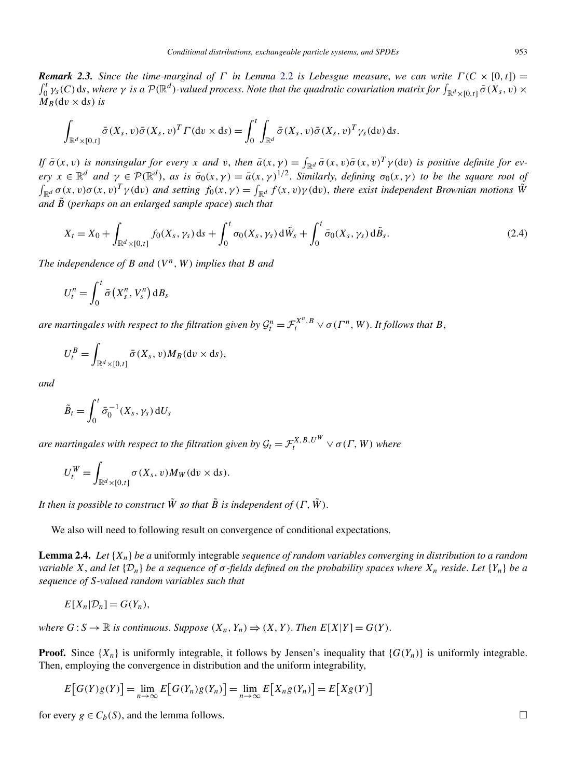<span id="page-7-0"></span>*Remark 2.3.* Since the time-marginal of  $\Gamma$  in Lemma [2.2](#page-6-0) is Lebesgue measure, we can write  $\Gamma(C \times [0, t])$  =  $\int_0^t \gamma_s(C)$  ds, where  $\gamma$  *is a*  $\mathcal{P}(\mathbb{R}^d)$ -valued process. Note that the quadratic covariation matrix for  $\int_{\mathbb{R}^d\times[0,t]} \bar{\sigma}(X_s,v)\times$  $M_B(\mathrm{d}v \times \mathrm{d}s)$  *is* 

$$
\int_{\mathbb{R}^d \times [0,t]} \bar{\sigma}(X_s, v) \bar{\sigma}(X_s, v)^T \Gamma(\mathrm{d} v \times \mathrm{d} s) = \int_0^t \int_{\mathbb{R}^d} \bar{\sigma}(X_s, v) \bar{\sigma}(X_s, v)^T \gamma_s(\mathrm{d} v) \,\mathrm{d} s.
$$

If  $\bar{\sigma}(x, v)$  is nonsingular for every x and v, then  $\bar{a}(x, \gamma) = \int_{\mathbb{R}^d} \bar{\sigma}(x, v) \bar{\sigma}(x, v)^T \gamma$  (dv) is positive definite for every  $x \in \mathbb{R}^d$  and  $\gamma \in \mathcal{P}(\mathbb{R}^d)$ , as is  $\bar{\sigma}_0(x, \gamma) = \bar{a}(x, \gamma)^{1/2}$ . Similarly, defining  $\sigma_0(x, \gamma)$  to be the square root of  $\int_{\mathbb{R}^d} \sigma(x, v) \sigma(x, v)^T \gamma(\text{d}v)$  and setting  $f_0(x, \gamma) = \int_{\mathbb{R}^d} f(x, v) \gamma(\text{d}v)$ , there exist independent Brownian motions  $\tilde{W}$ *and B*˜ (*perhaps on an enlarged sample space*) *such that*

$$
X_{t} = X_{0} + \int_{\mathbb{R}^{d} \times [0,t]} f_{0}(X_{s}, \gamma_{s}) ds + \int_{0}^{t} \sigma_{0}(X_{s}, \gamma_{s}) d\tilde{W}_{s} + \int_{0}^{t} \bar{\sigma}_{0}(X_{s}, \gamma_{s}) d\tilde{B}_{s}.
$$
 (2.4)

*The independence of*  $B$  *and*  $(V^n, W)$  *implies that*  $B$  *and* 

$$
U_t^n = \int_0^t \bar{\sigma}\left(X_s^n, V_s^n\right) \mathrm{d}B_s
$$

*are martingales with respect to the filtration given by*  $\mathcal{G}^n_t = \mathcal{F}^{X^n,B}_t \vee \sigma(\varGamma^n,W).$  *It follows that B*,

$$
U_t^B = \int_{\mathbb{R}^d \times [0,t]} \bar{\sigma}(X_s, v) M_B(\mathrm{d}v \times \mathrm{d}s),
$$

*and*

$$
\tilde{B}_t = \int_0^t \bar{\sigma}_0^{-1}(X_s, \gamma_s) dU_s
$$

*are martingales with respect to the filtration given by*  $\mathcal{G}_t = \mathcal{F}_t^{X,B,U^W} \vee \sigma(\varGamma,W)$  *where* 

$$
U_t^W = \int_{\mathbb{R}^d \times [0,t]} \sigma(X_s, v) M_W(\mathrm{d} v \times \mathrm{d} s).
$$

*It then is possible to construct*  $\tilde{W}$  *so that*  $\tilde{B}$  *is independent of*  $(\Gamma, \tilde{W})$ .

We also will need to following result on convergence of conditional expectations.

**Lemma 2.4.** *Let* {*Xn*} *be a* uniformly integrable *sequence of random variables converging in distribution to a random variable X*, and let  $\{D_n\}$  *be a sequence of*  $\sigma$ -fields defined on the probability spaces where  $X_n$  reside. Let  $\{Y_n\}$  be a *sequence of S-valued random variables such that*

$$
E[X_n|\mathcal{D}_n] = G(Y_n),
$$

*where*  $G: S \to \mathbb{R}$  *is continuous. Suppose*  $(X_n, Y_n) \Rightarrow (X, Y)$ . *Then*  $E[X|Y] = G(Y)$ .

**Proof.** Since  $\{X_n\}$  is uniformly integrable, it follows by Jensen's inequality that  $\{G(Y_n)\}$  is uniformly integrable. Then, employing the convergence in distribution and the uniform integrability,

$$
E[G(Y)g(Y)] = \lim_{n \to \infty} E[G(Y_n)g(Y_n)] = \lim_{n \to \infty} E[X_n g(Y_n)] = E[Xg(Y)]
$$

for every  $g \in C_b(S)$ , and the lemma follows.  $\Box$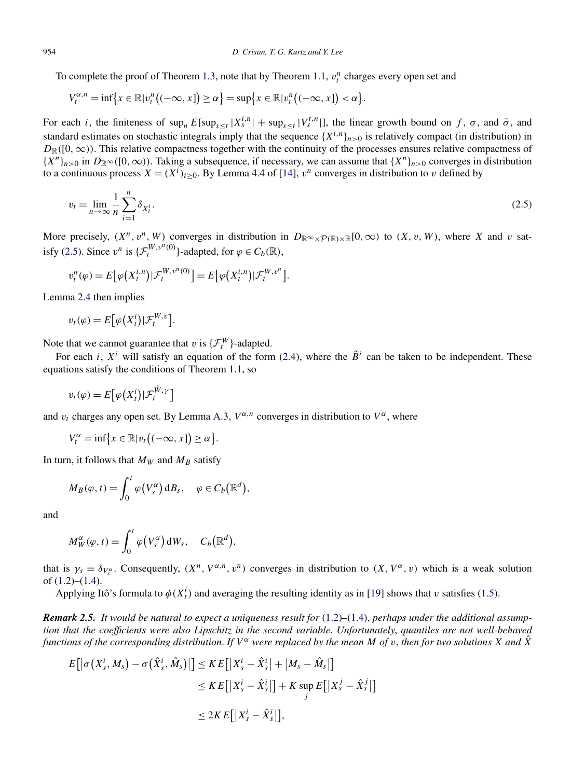<span id="page-8-0"></span>To complete the proof of Theorem [1.3,](#page-3-0) note that by Theorem [1.1,](#page-3-0)  $v_i^n$  charges every open set and

$$
V_t^{\alpha,n} = \inf \{ x \in \mathbb{R} | v_t^n \big( (-\infty, x] \big) \ge \alpha \} = \sup \{ x \in \mathbb{R} | v_t^n \big( (-\infty, x] \big) < \alpha \}.
$$

For each *i*, the finiteness of  $\sup_n E[\sup_{s\leq t}|X_s^{i,n}|] + \sup_{s\leq t}|V_s^{t,n}|]$ , the linear growth bound on f,  $\sigma$ , and  $\bar{\sigma}$ , and standard estimates on stochastic integrals imply that the sequence  $\{X^{i,n}\}_{n>0}$  is relatively compact (in distribution) in  $D_{\mathbb{R}}([0,\infty))$ . This relative compactness together with the continuity of the processes ensures relative compactness of  ${X^n}_{n>0}$  in  $D_{\mathbb{R}^\infty}([0,\infty))$ . Taking a subsequence, if necessary, we can assume that  ${X^n}_{n>0}$  converges in distribution to a continuous process  $X = (X^i)_{i \geq 0}$ . By Lemma 4.4 of [\[14\]](#page-27-0),  $v^n$  converges in distribution to *v* defined by

$$
v_t = \lim_{n \to \infty} \frac{1}{n} \sum_{i=1}^n \delta_{X_t^i}.
$$
\n(2.5)

More precisely,  $(X^n, v^n, W)$  converges in distribution in  $D_{\mathbb{R}^\infty \times \mathcal{P}(\mathbb{R}) \times \mathbb{R}}[0, \infty)$  to  $(X, v, W)$ , where *X* and *v* satisfy (2.5). Since  $v^n$  is  $\{\mathcal{F}^{W, v^n(0)}_t\}$ -adapted, for  $\varphi \in C_b(\mathbb{R})$ ,

$$
v_t^n(\varphi) = E\big[\varphi\big(X_t^{i,n}\big)|\mathcal{F}_t^{W,v^n(0)}\big] = E\big[\varphi\big(X_t^{i,n}\big)|\mathcal{F}_t^{W,v^n}\big].
$$

Lemma [2.4](#page-7-0) then implies

$$
v_t(\varphi) = E\big[\varphi\big(X_t^i\big)|\mathcal{F}_t^{W,v}\big].
$$

Note that we cannot guarantee that *v* is  $\{\mathcal{F}^W_t\}$ -adapted.

For each *i*,  $X^i$  will satisfy an equation of the form [\(2.4\)](#page-7-0), where the  $\tilde{B}^i$  can be taken to be independent. These equations satisfy the conditions of Theorem [1.1,](#page-3-0) so

$$
v_t(\varphi) = E\big[\varphi\big(X_t^i\big)|\mathcal{F}_t^{\tilde{W},\gamma}\big]
$$

and  $v_t$  charges any open set. By Lemma [A.3,](#page-25-0)  $V^{\alpha,n}$  converges in distribution to  $V^{\alpha}$ , where

$$
V_t^{\alpha} = \inf \{ x \in \mathbb{R} | v_t \big( (-\infty, x] \big) \ge \alpha \}.
$$

In turn, it follows that  $M_W$  and  $M_B$  satisfy

$$
M_B(\varphi, t) = \int_0^t \varphi(V_s^{\alpha}) dB_s, \quad \varphi \in C_b(\mathbb{R}^d),
$$

and

$$
M_W^{\alpha}(\varphi, t) = \int_0^t \varphi(V_s^{\alpha}) dW_s, \quad C_b(\mathbb{R}^d),
$$

that is  $\gamma_s = \delta_{V_s^{\alpha}}$ . Consequently,  $(X^n, V^{\alpha,n}, v^n)$  converges in distribution to  $(X, V^{\alpha}, v)$  which is a weak solution of  $(1.2)$ – $(1.4)$ .

Applying Itô's formula to  $\phi(X_t^i)$  and averaging the resulting identity as in [\[19\]](#page-28-0) shows that *v* satisfies [\(1.5\)](#page-2-0).

*Remark 2.5. It would be natural to expect a uniqueness result for* [\(1.2\)](#page-1-0)*–*[\(1.4\)](#page-2-0), *perhaps under the additional assumption that the coefficients were also Lipschitz in the second variable*. *Unfortunately*, *quantiles are not well-behaved functions of the corresponding distribution. If*  $V^{\alpha}$  *were replaced by the mean M of v*, *then for two solutions X and*  $\hat{X}$ 

$$
E[|\sigma(X_s^i, M_s) - \sigma(\hat{X}_s^i, \hat{M}_s)|] \leq KE[|X_s^i - \hat{X}_s^i| + |M_s - \hat{M}_s|]
$$
  

$$
\leq KE[|X_s^i - \hat{X}_s^i|] + K \sup_j E[|X_s^j - \hat{X}_s^j|]
$$
  

$$
\leq 2KE[|X_s^i - \hat{X}_s^i|],
$$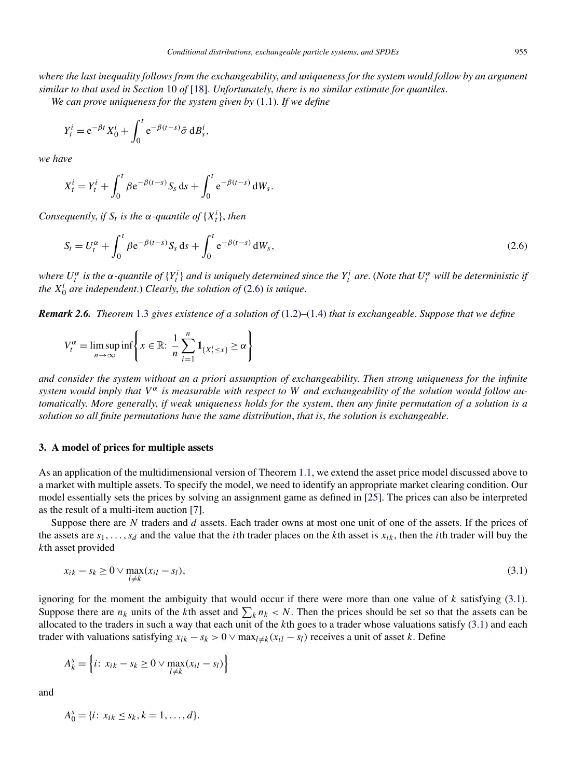<span id="page-9-0"></span>*where the last inequality follows from the exchangeability*, *and uniqueness for the system would follow by an argument similar to that used in Section* 10 *of* [\[18\]](#page-28-0). *Unfortunately*, *there is no similar estimate for quantiles*. *We can prove uniqueness for the system given by* [\(1.1\)](#page-1-0). *If we define*

$$
Y_t^i = e^{-\beta t} X_0^i + \int_0^t e^{-\beta(t-s)} \bar{\sigma} \, \mathrm{d}B_s^i,
$$

*we have*

$$
X_t^i = Y_t^i + \int_0^t \beta e^{-\beta(t-s)} S_s \, ds + \int_0^t e^{-\beta(t-s)} \, dW_s.
$$

*Consequently, if*  $S_t$  *is the*  $\alpha$ -quantile of  $\{X_t^i\}$ , then

$$
S_t = U_t^{\alpha} + \int_0^t \beta e^{-\beta(t-s)} S_s ds + \int_0^t e^{-\beta(t-s)} dW_s,
$$
\n(2.6)

where  $U_t^{\alpha}$  is the  $\alpha$ -quantile of  $\{Y_t^i\}$  and is uniquely determined since the  $Y_t^i$  are. (Note that  $U_t^{\alpha}$  will be deterministic if *the X<sup>i</sup>* <sup>0</sup> *are independent*.) *Clearly*, *the solution of* (2.6) *is unique*.

*Remark 2.6. Theorem* [1.3](#page-3-0) *gives existence of a solution of* [\(1.2\)](#page-1-0)*–*[\(1.4\)](#page-2-0) *that is exchangeable*. *Suppose that we define*

$$
V_t^{\alpha} = \limsup_{n \to \infty} \inf \left\{ x \in \mathbb{R} : \frac{1}{n} \sum_{i=1}^n \mathbf{1}_{\{X_t^i \le x\}} \ge \alpha \right\}
$$

*and consider the system without an a priori assumption of exchangeability*. *Then strong uniqueness for the infinite system would imply that*  $V^{\alpha}$  *is measurable with respect to* W *and exchangeability of the solution would follow automatically*. *More generally*, *if weak uniqueness holds for the system*, *then any finite permutation of a solution is a solution so all finite permutations have the same distribution*, *that is*, *the solution is exchangeable*.

## **3. A model of prices for multiple assets**

As an application of the multidimensional version of Theorem [1.1,](#page-3-0) we extend the asset price model discussed above to a market with multiple assets. To specify the model, we need to identify an appropriate market clearing condition. Our model essentially sets the prices by solving an assignment game as defined in [\[25\]](#page-28-0). The prices can also be interpreted as the result of a multi-item auction [\[7\]](#page-27-0).

Suppose there are *N* traders and *d* assets. Each trader owns at most one unit of one of the assets. If the prices of the assets are *s*1*,...,sd* and the value that the *i*th trader places on the *k*th asset is *xik* , then the *i*th trader will buy the *k*th asset provided

$$
x_{ik} - s_k \ge 0 \vee \max_{l \ne k} (x_{il} - s_l),\tag{3.1}
$$

ignoring for the moment the ambiguity that would occur if there were more than one value of *k* satisfying (3.1). Suppose there are  $n_k$  units of the *k*th asset and  $\sum_k n_k < N$ . Then the prices should be set so that the assets can be allocated to the traders in such a way that each unit of the *k*th goes to a trader whose valuations satisfy (3.1) and each trader with valuations satisfying  $x_{ik} - s_k > 0 \vee \max_{l \neq k} (x_{il} - s_l)$  receives a unit of asset *k*. Define

$$
A_k^s = \left\{ i \colon x_{ik} - s_k \ge 0 \lor \max_{l \neq k} (x_{il} - s_l) \right\}
$$

and

$$
A_0^s = \{i \colon x_{ik} \le s_k, k = 1, \dots, d\}.
$$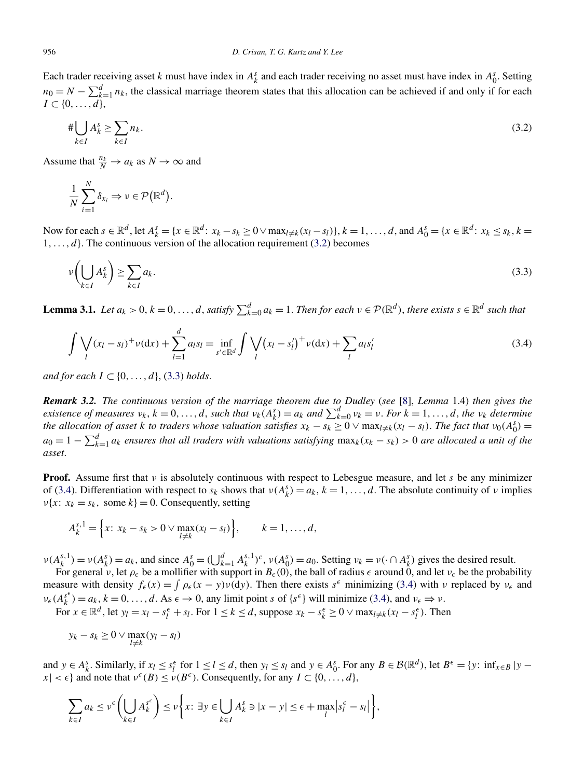<span id="page-10-0"></span>Each trader receiving asset *k* must have index in  $A_k^s$  and each trader receiving no asset must have index in  $A_0^s$ . Setting  $n_0 = N - \sum_{k=1}^d n_k$ , the classical marriage theorem states that this allocation can be achieved if and only if for each  $I \subset \{0,\ldots,d\},\$ 

$$
\# \bigcup_{k \in I} A_k^s \ge \sum_{k \in I} n_k. \tag{3.2}
$$

Assume that  $\frac{n_k}{N} \to a_k$  as  $N \to \infty$  and

$$
\frac{1}{N}\sum_{i=1}^N \delta_{x_i} \Rightarrow \nu \in \mathcal{P}(\mathbb{R}^d).
$$

Now for each  $s \in \mathbb{R}^d$ , let  $A_k^s = \{x \in \mathbb{R}^d : x_k - s_k \ge 0 \lor \max_{l \neq k} (x_l - s_l)\}, k = 1, ..., d$ , and  $A_0^s = \{x \in \mathbb{R}^d : x_k \le s_k, k = 1, ..., d\}$  $1, \ldots, d$ . The continuous version of the allocation requirement (3.2) becomes

$$
\nu\left(\bigcup_{k\in I} A_k^s\right) \ge \sum_{k\in I} a_k. \tag{3.3}
$$

**Lemma 3.1.** Let  $a_k > 0$ ,  $k = 0, ..., d$ , satisfy  $\sum_{k=0}^{d} a_k = 1$ . Then for each  $v \in \mathcal{P}(\mathbb{R}^d)$ , there exists  $s \in \mathbb{R}^d$  such that

$$
\int \bigvee_{l} (x_{l} - s_{l})^{+} \nu(\mathrm{d}x) + \sum_{l=1}^{d} a_{l} s_{l} = \inf_{s' \in \mathbb{R}^{d}} \int \bigvee_{l} (x_{l} - s'_{l})^{+} \nu(\mathrm{d}x) + \sum_{l} a_{l} s'_{l}
$$
(3.4)

*and for each*  $I \subset \{0, \ldots, d\}$ , (3.3) *holds.* 

*Remark 3.2. The continuous version of the marriage theorem due to Dudley* (*see* [\[8\]](#page-27-0), *Lemma* 1.4) *then gives the* existence of measures  $v_k$ ,  $k = 0, ..., d$ , such that  $v_k(A_k^s) = a_k$  and  $\sum_{k=0}^d v_k = v$ . For  $k = 1, ..., d$ , the  $v_k$  determine *the allocation of asset k to traders whose valuation satisfies*  $x_k - s_k \geq 0 \vee \max_{l \neq k} (x_l - s_l)$ . *The fact that*  $v_0(A_0^s) =$  $a_0 = 1 - \sum_{k=1}^d a_k$  ensures that all traders with valuations satisfying  $\max_k(x_k - s_k) > 0$  are allocated a unit of the *asset*.

**Proof.** Assume first that *ν* is absolutely continuous with respect to Lebesgue measure, and let *s* be any minimizer of (3.4). Differentiation with respect to  $s_k$  shows that  $v(A_k^s) = a_k$ ,  $k = 1, ..., d$ . The absolute continuity of *v* implies *ν*{*x*:  $x_k = s_k$ , some  $k$ } = 0. Consequently, setting

$$
A_k^{s,1} = \left\{ x \colon x_k - s_k > 0 \lor \max_{l \neq k} (x_l - s_l) \right\}, \qquad k = 1, \dots, d,
$$

 $\nu(A_k^{s,1}) = \nu(A_k^s) = a_k$ , and since  $A_0^s = (\bigcup_{k=1}^d A_k^{s,1})^c$ ,  $\nu(A_0^s) = a_0$ . Setting  $\nu_k = \nu(\cdot \cap A_k^s)$  gives the desired result.

For general *ν*, let  $\rho_\epsilon$  be a mollifier with support in  $B_\epsilon(0)$ , the ball of radius  $\epsilon$  around 0, and let  $v_\epsilon$  be the probability measure with density  $f_{\epsilon}(x) = \int \rho_{\epsilon}(x - y)v(\text{d}y)$ . Then there exists  $s^{\epsilon}$  minimizing (3.4) with *ν* replaced by  $v_{\epsilon}$  and  $v_{\epsilon}(A_k^{s^{\epsilon}}) = a_k$ ,  $k = 0, ..., d$ . As  $\epsilon \to 0$ , any limit point *s* of  $\{s^{\epsilon}\}\$  will minimize (3.4), and  $v_{\epsilon} \Rightarrow v$ .

For  $x \in \mathbb{R}^d$ , let  $y_l = x_l - s_l^{\epsilon} + s_l$ . For  $1 \le k \le d$ , suppose  $x_k - s_k^{\epsilon} \ge 0 \vee \max_{l \ne k} (x_l - s_l^{\epsilon})$ . Then

$$
y_k - s_k \ge 0 \vee \max_{l \ne k} (y_l - s_l)
$$

and  $y \in A_k^s$ . Similarly, if  $x_l \le s_l^{\epsilon}$  for  $1 \le l \le d$ , then  $y_l \le s_l$  and  $y \in A_0^s$ . For any  $B \in \mathcal{B}(\mathbb{R}^d)$ , let  $B^{\epsilon} = \{y: \inf_{x \in B} | y - y| \le s_l \}$  $|x| < \epsilon$  and note that  $v^{\epsilon}(B) \le v(B^{\epsilon})$ . Consequently, for any  $I \subset \{0, \ldots, d\}$ ,

$$
\sum_{k\in I} a_k \le \nu^{\epsilon} \left( \bigcup_{k\in I} A_k^{s^{\epsilon}} \right) \le \nu \left\{ x \colon \exists y \in \bigcup_{k\in I} A_k^s \ni |x-y| \le \epsilon + \max_{I} \left| s^{\epsilon}_i - s_l \right| \right\},\
$$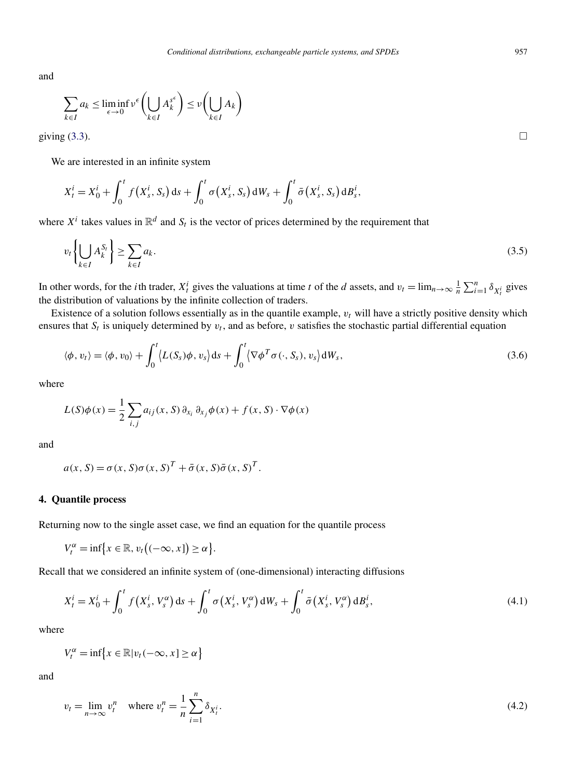<span id="page-11-0"></span>and

$$
\sum_{k \in I} a_k \le \liminf_{\epsilon \to 0} \nu^{\epsilon} \left( \bigcup_{k \in I} A_k^{s^{\epsilon}} \right) \le \nu \left( \bigcup_{k \in I} A_k \right)
$$

giving  $(3.3)$ .

We are interested in an infinite system

$$
X_t^i = X_0^i + \int_0^t f(X_s^i, S_s) ds + \int_0^t \sigma(X_s^i, S_s) dW_s + \int_0^t \bar{\sigma}(X_s^i, S_s) dB_s^i,
$$

where  $X^i$  takes values in  $\mathbb{R}^d$  and  $S_t$  is the vector of prices determined by the requirement that

$$
v_t\left\{\bigcup_{k\in I} A_k^{S_t}\right\} \ge \sum_{k\in I} a_k. \tag{3.5}
$$

In other words, for the *i*th trader,  $X_t^i$  gives the valuations at time *t* of the *d* assets, and  $v_t = \lim_{n \to \infty} \frac{1}{n} \sum_{i=1}^n \delta_{X_t^i}$  gives the distribution of valuations by the infinite collection of traders.

Existence of a solution follows essentially as in the quantile example,  $v_t$  will have a strictly positive density which ensures that  $S_t$  is uniquely determined by  $v_t$ , and as before,  $v$  satisfies the stochastic partial differential equation

$$
\langle \phi, v_t \rangle = \langle \phi, v_0 \rangle + \int_0^t \langle L(S_s) \phi, v_s \rangle ds + \int_0^t \langle \nabla \phi^T \sigma(\cdot, S_s), v_s \rangle dW_s,
$$
\n(3.6)

where

$$
L(S)\phi(x) = \frac{1}{2}\sum_{i,j} a_{ij}(x, S) \partial_{x_i} \partial_{x_j} \phi(x) + f(x, S) \cdot \nabla \phi(x)
$$

and

$$
a(x, S) = \sigma(x, S)\sigma(x, S)^{T} + \bar{\sigma}(x, S)\bar{\sigma}(x, S)^{T}.
$$

# **4. Quantile process**

Returning now to the single asset case, we find an equation for the quantile process

$$
V_t^{\alpha} = \inf \{ x \in \mathbb{R}, v_t \big( (-\infty, x] \big) \ge \alpha \}.
$$

Recall that we considered an infinite system of (one-dimensional) interacting diffusions

$$
X_t^i = X_0^i + \int_0^t f(X_s^i, V_s^{\alpha}) \, ds + \int_0^t \sigma(X_s^i, V_s^{\alpha}) \, dW_s + \int_0^t \bar{\sigma}(X_s^i, V_s^{\alpha}) \, dB_s^i, \tag{4.1}
$$

where

$$
V_t^{\alpha} = \inf \{ x \in \mathbb{R} | v_t(-\infty, x] \ge \alpha \}
$$

and

$$
v_t = \lim_{n \to \infty} v_t^n \quad \text{where } v_t^n = \frac{1}{n} \sum_{i=1}^n \delta_{X_t^i}.\tag{4.2}
$$

 $\Box$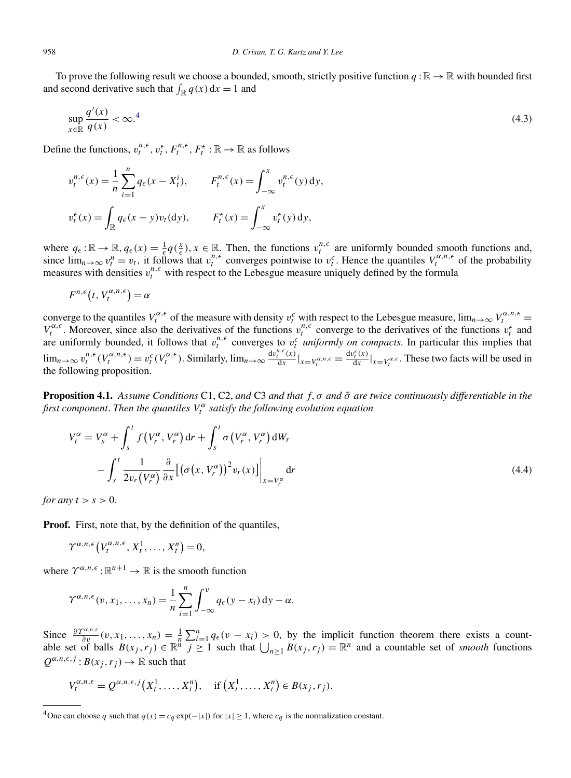<span id="page-12-0"></span>To prove the following result we choose a bounded, smooth, strictly positive function  $q : \mathbb{R} \to \mathbb{R}$  with bounded first and second derivative such that  $\int_{\mathbb{R}} q(x) dx = 1$  and

$$
\sup_{x \in \mathbb{R}} \frac{q'(x)}{q(x)} < \infty.^4 \tag{4.3}
$$

Define the functions,  $v_t^{n,\epsilon}$ ,  $v_t^{\epsilon}$ ,  $F_t^{n,\epsilon}$ ,  $F_t^{\epsilon}$ :  $\mathbb{R} \to \mathbb{R}$  as follows

$$
v_t^{n,\epsilon}(x) = \frac{1}{n} \sum_{i=1}^n q_{\epsilon}(x - X_t^i), \qquad F_t^{n,\epsilon}(x) = \int_{-\infty}^x v_t^{n,\epsilon}(y) \, dy,
$$
  

$$
v_t^{\epsilon}(x) = \int_{\mathbb{R}} q_{\epsilon}(x - y) v_t(\mathrm{d}y), \qquad F_t^{\epsilon}(x) = \int_{-\infty}^x v_t^{\epsilon}(y) \, dy,
$$

where  $q_{\epsilon} : \mathbb{R} \to \mathbb{R}$ ,  $q_{\epsilon}(x) = \frac{1}{\epsilon} q(\frac{x}{\epsilon})$ ,  $x \in \mathbb{R}$ . Then, the functions  $v_t^{n,\epsilon}$  are uniformly bounded smooth functions and, since  $\lim_{n\to\infty} v_t^n = v_t$ , it follows that  $v_t^{n,\epsilon}$  converges pointwise to  $v_t^{\epsilon}$ . Hence the quantiles  $V_t^{\alpha,n,\epsilon}$  of the probability measures with densities  $v_t^{n,\epsilon}$  with respect to the Lebesgue measure uniquely defined by the formula

$$
F^{n,\epsilon}(t, V_t^{\alpha,n,\epsilon}) = \alpha
$$

converge to the quantiles  $V_t^{\alpha,\epsilon}$  of the measure with density  $v_t^{\epsilon}$  with respect to the Lebesgue measure,  $\lim_{n\to\infty} V_t^{\alpha,n,\epsilon}$  $V_t^{\alpha,\epsilon}$ . Moreover, since also the derivatives of the functions  $v_t^{n,\epsilon}$  converge to the derivatives of the functions  $v_t^{\epsilon}$  and are uniformly bounded, it follows that  $v_t^{n,\epsilon}$  converges to  $v_t^{\epsilon}$  *uniformly on compacts*. In particular this implies that  $\lim_{n\to\infty} v_t^{n,\epsilon}(V_t^{\alpha,n,\epsilon}) = v_t^{\epsilon}(V_t^{\alpha,\epsilon})$ . Similarly,  $\lim_{n\to\infty} \frac{\mathrm{d}v_t^{n,\epsilon}(x)}{\mathrm{d}x}|_{x=V_t^{\alpha,n,\epsilon}} = \frac{\mathrm{d}v_t^{\epsilon}(x)}{\mathrm{d}x}|_{x=V_t^{\alpha,\epsilon}}$ . These two facts will be used in the following proposition.

**Proposition 4.1.** *Assume Conditions* C1, C2, *and* C3 *and that f,σ and σ*¯ *are twice continuously differentiable in the first component*. *Then the quantiles V <sup>α</sup> <sup>t</sup> satisfy the following evolution equation*

$$
V_t^{\alpha} = V_s^{\alpha} + \int_s^t f\left(V_r^{\alpha}, V_r^{\alpha}\right) dr + \int_s^t \sigma\left(V_r^{\alpha}, V_r^{\alpha}\right) dW_r
$$
  

$$
- \int_s^t \frac{1}{2v_r\left(V_r^{\alpha}\right)} \frac{\partial}{\partial x} \left[\left(\sigma\left(x, V_r^{\alpha}\right)\right)^2 v_r(x)\right] \Big|_{x = V_r^{\alpha}} dr \tag{4.4}
$$

*for any*  $t > s > 0$ .

**Proof.** First, note that, by the definition of the quantiles,

$$
\Upsilon^{\alpha,n,\epsilon}\left(V_t^{\alpha,n,\epsilon},X_t^1,\ldots,X_t^n\right)=0,
$$

where  $\Upsilon^{\alpha, n, \epsilon} : \mathbb{R}^{n+1} \to \mathbb{R}$  is the smooth function

$$
\Upsilon^{\alpha,n,\epsilon}(v,x_1,\ldots,x_n)=\frac{1}{n}\sum_{i=1}^n\int_{-\infty}^v q_{\epsilon}(y-x_i)\,\mathrm{d}y-\alpha.
$$

Since  $\frac{\partial \Upsilon^{\alpha, n, \epsilon}}{\partial v}(v, x_1, \dots, x_n) = \frac{1}{n} \sum_{i=1}^n q_{\epsilon}(v - x_i) > 0$ , by the implicit function theorem there exists a countable set of balls  $B(x_j, r_j) \in \mathbb{R}^n$   $j \ge 1$  such that  $\bigcup_{n \ge 1} B(x_j, r_j) = \mathbb{R}^n$  and a countable set of *smooth* functions  $Q^{\alpha, n, \epsilon, j}: B(x_j, r_j) \to \mathbb{R}$  such that

$$
V_t^{\alpha,n,\epsilon} = Q^{\alpha,n,\epsilon,j}(X_t^1,\ldots,X_t^n), \quad \text{if } (X_t^1,\ldots,X_t^n) \in B(x_j,r_j).
$$

<sup>&</sup>lt;sup>4</sup>One can choose *q* such that  $q(x) = c_q \exp(-|x|)$  for  $|x| \ge 1$ , where  $c_q$  is the normalization constant.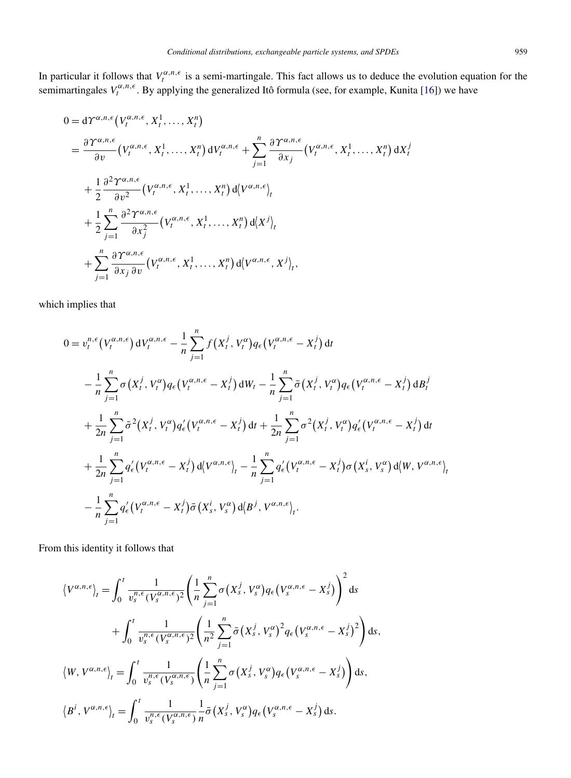In particular it follows that  $V_t^{\alpha,n,\epsilon}$  is a semi-martingale. This fact allows us to deduce the evolution equation for the semimartingales  $V_t^{\alpha,n,\epsilon}$ . By applying the generalized Itô formula (see, for example, Kunita [\[16\]](#page-28-0)) we have

$$
0 = d\Upsilon^{\alpha, n, \epsilon} (V_t^{\alpha, n, \epsilon}, X_t^1, \dots, X_t^n)
$$
  
\n
$$
= \frac{\partial \Upsilon^{\alpha, n, \epsilon}}{\partial v} (V_t^{\alpha, n, \epsilon}, X_t^1, \dots, X_t^n) dV_t^{\alpha, n, \epsilon} + \sum_{j=1}^n \frac{\partial \Upsilon^{\alpha, n, \epsilon}}{\partial x_j} (V_t^{\alpha, n, \epsilon}, X_t^1, \dots, X_t^n) dX_t^j
$$
  
\n
$$
+ \frac{1}{2} \frac{\partial^2 \Upsilon^{\alpha, n, \epsilon}}{\partial v^2} (V_t^{\alpha, n, \epsilon}, X_t^1, \dots, X_t^n) d\left\{V^{\alpha, n, \epsilon}\right\}_t
$$
  
\n
$$
+ \frac{1}{2} \sum_{j=1}^n \frac{\partial^2 \Upsilon^{\alpha, n, \epsilon}}{\partial x_j^2} (V_t^{\alpha, n, \epsilon}, X_t^1, \dots, X_t^n) d\left\{X^j\right\}_t
$$
  
\n
$$
+ \sum_{j=1}^n \frac{\partial \Upsilon^{\alpha, n, \epsilon}}{\partial x_j \partial v} (V_t^{\alpha, n, \epsilon}, X_t^1, \dots, X_t^n) d\left\{V^{\alpha, n, \epsilon}, X^j\right\}_t,
$$

which implies that

$$
0 = v_t^{n,\epsilon} (V_t^{\alpha,n,\epsilon}) dV_t^{\alpha,n,\epsilon} - \frac{1}{n} \sum_{j=1}^n f(X_t^j, V_t^{\alpha}) q_{\epsilon} (V_t^{\alpha,n,\epsilon} - X_t^j) dt
$$
  

$$
- \frac{1}{n} \sum_{j=1}^n \sigma(X_t^j, V_t^{\alpha}) q_{\epsilon} (V_t^{\alpha,n,\epsilon} - X_t^j) dW_t - \frac{1}{n} \sum_{j=1}^n \bar{\sigma}(X_t^j, V_t^{\alpha}) q_{\epsilon} (V_t^{\alpha,n,\epsilon} - X_t^j) dB_t^j
$$
  

$$
+ \frac{1}{2n} \sum_{j=1}^n \bar{\sigma}^2(X_t^j, V_t^{\alpha}) q_{\epsilon}' (V_t^{\alpha,n,\epsilon} - X_t^j) dt + \frac{1}{2n} \sum_{j=1}^n \sigma^2(X_t^j, V_t^{\alpha}) q_{\epsilon}' (V_t^{\alpha,n,\epsilon} - X_t^j) dt
$$
  

$$
+ \frac{1}{2n} \sum_{j=1}^n q_{\epsilon}' (V_t^{\alpha,n,\epsilon} - X_t^j) d\langle V_{\alpha,n,\epsilon} \rangle_t - \frac{1}{n} \sum_{j=1}^n q_{\epsilon}' (V_t^{\alpha,n,\epsilon} - X_t^j) \sigma(X_s^i, V_s^{\alpha}) d\langle W, V_{\alpha,n,\epsilon} \rangle_t
$$
  

$$
- \frac{1}{n} \sum_{j=1}^n q_{\epsilon}' (V_t^{\alpha,n,\epsilon} - X_t^j) \bar{\sigma}(X_s^i, V_s^{\alpha}) d\langle B^j, V_{\alpha,n,\epsilon} \rangle_t.
$$

From this identity it follows that

$$
\langle V^{\alpha,n,\epsilon}\rangle_{t} = \int_{0}^{t} \frac{1}{v_{s}^{n,\epsilon}(V_{s}^{\alpha,n,\epsilon})^{2}} \left(\frac{1}{n}\sum_{j=1}^{n} \sigma(X_{s}^{j}, V_{s}^{\alpha}) q_{\epsilon}(V_{s}^{\alpha,n,\epsilon} - X_{s}^{j})\right)^{2} ds
$$
  
+ 
$$
\int_{0}^{t} \frac{1}{v_{s}^{n,\epsilon}(V_{s}^{\alpha,n,\epsilon})^{2}} \left(\frac{1}{n^{2}}\sum_{j=1}^{n} \bar{\sigma}(X_{s}^{j}, V_{s}^{\alpha})^{2} q_{\epsilon}(V_{s}^{\alpha,n,\epsilon} - X_{s}^{j})^{2}\right) ds,
$$
  

$$
\langle W, V^{\alpha,n,\epsilon}\rangle_{t} = \int_{0}^{t} \frac{1}{v_{s}^{n,\epsilon}(V_{s}^{\alpha,n,\epsilon})} \left(\frac{1}{n}\sum_{j=1}^{n} \sigma(X_{s}^{j}, V_{s}^{\alpha}) q_{\epsilon}(V_{s}^{\alpha,n,\epsilon} - X_{s}^{j})\right) ds,
$$
  

$$
\langle B^{i}, V^{\alpha,n,\epsilon}\rangle_{t} = \int_{0}^{t} \frac{1}{v_{s}^{n,\epsilon}(V_{s}^{\alpha,n,\epsilon})} \frac{1}{n} \bar{\sigma}(X_{s}^{j}, V_{s}^{\alpha}) q_{\epsilon}(V_{s}^{\alpha,n,\epsilon} - X_{s}^{j}) ds.
$$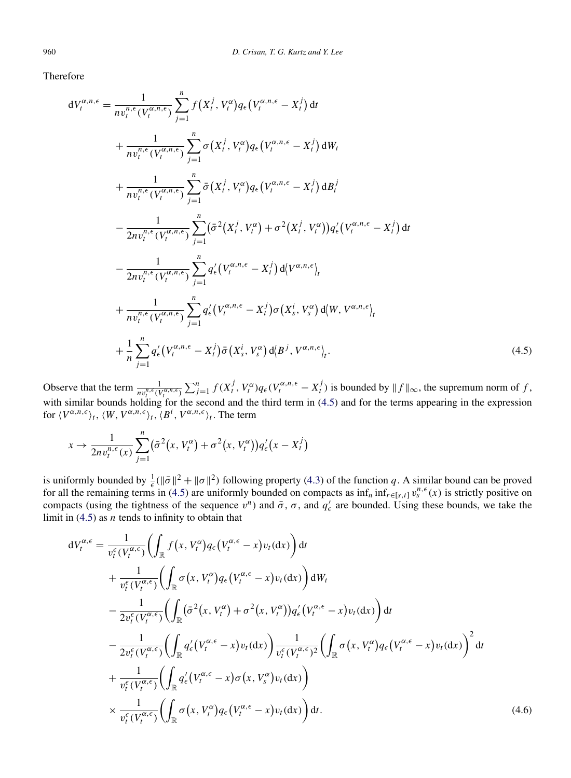Therefore

$$
dV_t^{\alpha,n,\epsilon} = \frac{1}{nv_t^{n,\epsilon}(V_t^{\alpha,n,\epsilon})} \sum_{j=1}^n f(X_t^j, V_t^{\alpha}) q_{\epsilon}(V_t^{\alpha,n,\epsilon} - X_t^j) dt
$$
  
+ 
$$
\frac{1}{nv_t^{n,\epsilon}(V_t^{\alpha,n,\epsilon})} \sum_{j=1}^n \sigma(X_t^j, V_t^{\alpha}) q_{\epsilon}(V_t^{\alpha,n,\epsilon} - X_t^j) dW_t
$$
  
+ 
$$
\frac{1}{nv_t^{n,\epsilon}(V_t^{\alpha,n,\epsilon})} \sum_{j=1}^n \bar{\sigma}(X_t^j, V_t^{\alpha}) q_{\epsilon}(V_t^{\alpha,n,\epsilon} - X_t^j) dB_t^j
$$
  
- 
$$
\frac{1}{2nv_t^{n,\epsilon}(V_t^{\alpha,n,\epsilon})} \sum_{j=1}^n (\bar{\sigma}^2(X_t^j, V_t^{\alpha}) + \sigma^2(X_t^j, V_t^{\alpha})) q'_{\epsilon}(V_t^{\alpha,n,\epsilon} - X_t^j) dt
$$
  
- 
$$
\frac{1}{2nv_t^{n,\epsilon}(V_t^{\alpha,n,\epsilon})} \sum_{j=1}^n q'_{\epsilon}(V_t^{\alpha,n,\epsilon} - X_t^j) d\langle V^{\alpha,n,\epsilon}\rangle_t
$$
  
+ 
$$
\frac{1}{nv_t^{n,\epsilon}(V_t^{\alpha,n,\epsilon})} \sum_{j=1}^n q'_{\epsilon}(V_t^{\alpha,n,\epsilon} - X_t^j) \sigma(X_s^i, V_s^{\alpha}) d\langle W, V^{\alpha,n,\epsilon}\rangle_t
$$
  
+ 
$$
\frac{1}{n} \sum_{j=1}^n q'_{\epsilon}(V_t^{\alpha,n,\epsilon} - X_t^j) \bar{\sigma}(X_s^i, V_s^{\alpha}) d\langle B^j, V^{\alpha,n,\epsilon}\rangle_t.
$$
(4.5)

Observe that the term  $\frac{1}{nv_t^{n,\epsilon}(V_t^{\alpha,n,\epsilon})}\sum_{j=1}^n f(X_t^j, V_t^{\alpha})q_{\epsilon}(V_t^{\alpha,n,\epsilon}-X_t^j)$  is bounded by  $||f||_{\infty}$ , the supremum norm of f, with similar bounds holding for the second and the third term in (4.5) and for the terms appearing in the expression for  $\langle V^{\alpha,n,\epsilon} \rangle_t$ ,  $\langle W, V^{\alpha,n,\epsilon} \rangle_t$ ,  $\langle B^i, V^{\alpha,n,\epsilon} \rangle_t$ . The term

$$
x \to \frac{1}{2nv_t^{n,\epsilon}(x)} \sum_{j=1}^n (\bar{\sigma}^2(x, V_t^{\alpha}) + \sigma^2(x, V_t^{\alpha})) q_{\epsilon}'(x - X_t^j)
$$

is uniformly bounded by  $\frac{1}{\epsilon}(\|\bar{\sigma}\|^2 + \|\sigma\|^2)$  following property [\(4.3\)](#page-12-0) of the function *q*. A similar bound can be proved for all the remaining terms in (4.5) are uniformly bounded on compacts as  $\inf_n \inf_{r \in [s,t]} v^{n,\epsilon}_s(x)$  is strictly positive on compacts (using the tightness of the sequence  $v^n$ ) and  $\bar{\sigma}$ ,  $\sigma$ , and  $q'_\epsilon$  are bounded. Using these bounds, we take the limit in (4.5) as *n* tends to infinity to obtain that

$$
dV_{t}^{\alpha,\epsilon} = \frac{1}{v_{t}^{\epsilon}(V_{t}^{\alpha,\epsilon})} \Biggl( \int_{\mathbb{R}} f(x, V_{t}^{\alpha}) q_{\epsilon} (V_{t}^{\alpha,\epsilon} - x) v_{t} (dx) \Biggr) dt + \frac{1}{v_{t}^{\epsilon}(V_{t}^{\alpha,\epsilon})} \Biggl( \int_{\mathbb{R}} \sigma(x, V_{t}^{\alpha}) q_{\epsilon} (V_{t}^{\alpha,\epsilon} - x) v_{t} (dx) \Biggr) dW_{t} - \frac{1}{2v_{t}^{\epsilon}(V_{t}^{\alpha,\epsilon})} \Biggl( \int_{\mathbb{R}} (\bar{\sigma}^{2}(x, V_{t}^{\alpha}) + \sigma^{2}(x, V_{t}^{\alpha})) q_{\epsilon}' (V_{t}^{\alpha,\epsilon} - x) v_{t} (dx) \Biggr) dt - \frac{1}{2v_{t}^{\epsilon}(V_{t}^{\alpha,\epsilon})} \Biggl( \int_{\mathbb{R}} q_{\epsilon}' (V_{t}^{\alpha,\epsilon} - x) v_{t} (dx) \Biggr) \frac{1}{v_{t}^{\epsilon}(V_{t}^{\alpha,\epsilon})^{2}} \Biggl( \int_{\mathbb{R}} \sigma(x, V_{t}^{\alpha}) q_{\epsilon} (V_{t}^{\alpha,\epsilon} - x) v_{t} (dx) \Biggr)^{2} dt + \frac{1}{v_{t}^{\epsilon}(V_{t}^{\alpha,\epsilon})} \Biggl( \int_{\mathbb{R}} q_{\epsilon}' (V_{t}^{\alpha,\epsilon} - x) \sigma(x, V_{s}^{\alpha}) v_{t} (dx) \Biggr) \times \frac{1}{v_{t}^{\epsilon}(V_{t}^{\alpha,\epsilon})} \Biggl( \int_{\mathbb{R}} \sigma(x, V_{t}^{\alpha}) q_{\epsilon} (V_{t}^{\alpha,\epsilon} - x) v_{t} (dx) \Biggr) dt.
$$
 (4.6)

<span id="page-14-0"></span>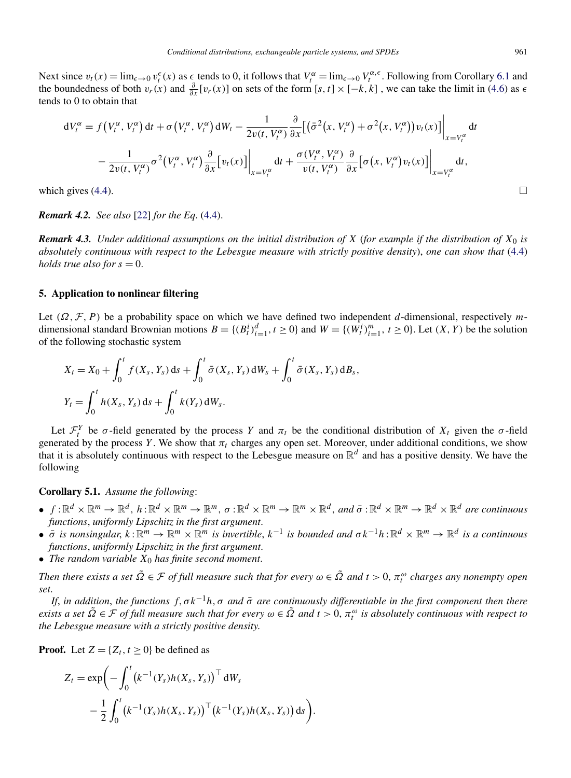<span id="page-15-0"></span>Next since  $v_t(x) = \lim_{\epsilon \to 0} v_t^{\epsilon}(x)$  as  $\epsilon$  tends to 0, it follows that  $V_t^{\alpha} = \lim_{\epsilon \to 0} V_t^{\alpha, \epsilon}$ . Following from Corollary [6.1](#page-19-0) and the boundedness of both  $v_r(x)$  and  $\frac{\partial}{\partial x}[v_r(x)]$  on sets of the form  $[s, t] \times [-k, k]$ , we can take the limit in [\(4.6\)](#page-14-0) as  $\epsilon$ tends to 0 to obtain that

$$
dV_t^{\alpha} = f(V_t^{\alpha}, V_t^{\alpha}) dt + \sigma (V_t^{\alpha}, V_t^{\alpha}) dW_t - \frac{1}{2v(t, V_t^{\alpha})} \frac{\partial}{\partial x} [(\bar{\sigma}^2(x, V_t^{\alpha}) + \sigma^2(x, V_t^{\alpha}))v_t(x)] \Big|_{x = V_t^{\alpha}} dt - \frac{1}{2v(t, V_t^{\alpha})} \sigma^2 (V_t^{\alpha}, V_t^{\alpha}) \frac{\partial}{\partial x} [v_t(x)] \Big|_{x = V_t^{\alpha}} dt + \frac{\sigma (V_t^{\alpha}, V_t^{\alpha})}{v(t, V_t^{\alpha})} \frac{\partial}{\partial x} [\sigma (x, V_t^{\alpha}) v_t(x)] \Big|_{x = V_t^{\alpha}} dt,
$$

which gives  $(4.4)$ .

*Remark 4.2. See also* [\[22\]](#page-28-0) *for the Eq*. [\(4.4\)](#page-12-0).

*Remark 4.3. Under additional assumptions on the initial distribution of X* (*for example if the distribution of X*<sup>0</sup> *is absolutely continuous with respect to the Lebesgue measure with strictly positive density*), *one can show that* [\(4.4\)](#page-12-0) *holds true also for*  $s = 0$ .

#### **5. Application to nonlinear filtering**

Let *(Ω,*F*,P)* be a probability space on which we have defined two independent *d*-dimensional, respectively *m*dimensional standard Brownian motions  $B = \{(B_t^i)_{i=1}^d, t \ge 0\}$  and  $W = \{(W_t^i)_{i=1}^m, t \ge 0\}$ . Let  $(X, Y)$  be the solution of the following stochastic system

$$
X_t = X_0 + \int_0^t f(X_s, Y_s) \, ds + \int_0^t \bar{\sigma}(X_s, Y_s) \, dW_s + \int_0^t \bar{\sigma}(X_s, Y_s) \, dB_s,
$$
  

$$
Y_t = \int_0^t h(X_s, Y_s) \, ds + \int_0^t k(Y_s) \, dW_s.
$$

Let  $\mathcal{F}_t^Y$  be *σ*-field generated by the process *Y* and  $\pi_t$  be the conditional distribution of  $X_t$  given the *σ*-field generated by the process *Y*. We show that  $\pi_t$  charges any open set. Moreover, under additional conditions, we show that it is absolutely continuous with respect to the Lebesgue measure on  $\mathbb{R}^d$  and has a positive density. We have the following

# **Corollary 5.1.** *Assume the following*:

- $f: \mathbb{R}^d \times \mathbb{R}^m \to \mathbb{R}^d$ ,  $h: \mathbb{R}^d \times \mathbb{R}^m \to \mathbb{R}^m$ ,  $\sigma: \mathbb{R}^d \times \mathbb{R}^m \to \mathbb{R}^m \times \mathbb{R}^d$ , and  $\bar{\sigma}: \mathbb{R}^d \times \mathbb{R}^m \to \mathbb{R}^d \times \mathbb{R}^d$  are continuous *functions*, *uniformly Lipschitz in the first argument*.
- $\bullet$   $\bar{\sigma}$  *is nonsingular,*  $k : \mathbb{R}^m \to \mathbb{R}^m \times \mathbb{R}^m$  *is invertible,*  $k^{-1}$  *is bounded and*  $\sigma k^{-1}h : \mathbb{R}^d \times \mathbb{R}^m \to \mathbb{R}^d$  *is a continuous functions*, *uniformly Lipschitz in the first argument*.
- *The random variable X*<sup>0</sup> *has finite second moment*.

*Then there exists a set <sup>Ω</sup>*˜ <sup>∈</sup> <sup>F</sup> *of full measure such that for every <sup>ω</sup>* <sup>∈</sup> *<sup>Ω</sup>*˜ *and t >* 0, *<sup>π</sup><sup>ω</sup> <sup>t</sup> charges any nonempty open set*.

*If, in addition, the functions*  $f, \sigma k^{-1}h, \sigma$  *and*  $\bar{\sigma}$  *are continuously differentiable in the first component then there exists a set*  $\tilde{\Omega} \in \mathcal{F}$  *of full measure such that for every*  $\omega \in \tilde{\Omega}$  *and*  $t > 0$ ,  $\pi_t^{\omega}$  *is absolutely continuous with respect to the Lebesgue measure with a strictly positive density*.

**Proof.** Let  $Z = \{Z_t, t \geq 0\}$  be defined as

$$
Z_t = \exp\biggl(-\int_0^t \bigl(k^{-1}(Y_s)h(X_s, Y_s)\bigr)^{\top} dW_s -\frac{1}{2}\int_0^t \bigl(k^{-1}(Y_s)h(X_s, Y_s)\bigr)^{\top} \bigl(k^{-1}(Y_s)h(X_s, Y_s)\bigr) ds\biggr).
$$

 $\Box$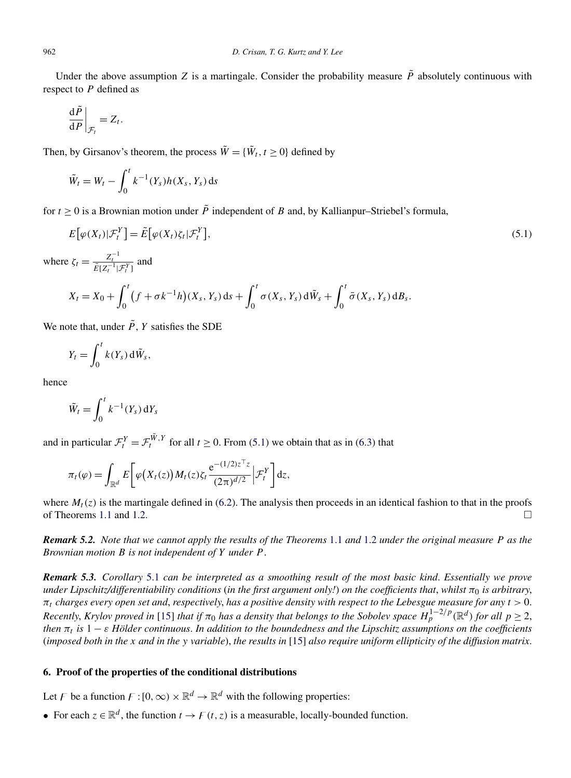<span id="page-16-0"></span>Under the above assumption *Z* is a martingale. Consider the probability measure  $\tilde{P}$  absolutely continuous with respect to *P* defined as

$$
\left.\frac{\mathrm{d}\tilde{P}}{\mathrm{d}P}\right|_{\mathcal{F}_t} = Z_t.
$$

Then, by Girsanov's theorem, the process  $\tilde{W} = {\tilde{W}_t, t \ge 0}$  defined by

$$
\tilde{W}_t = W_t - \int_0^t k^{-1}(Y_s)h(X_s, Y_s) \, ds
$$

for  $t \geq 0$  is a Brownian motion under  $\tilde{P}$  independent of *B* and, by Kallianpur–Striebel's formula,

$$
E[\varphi(X_t)|\mathcal{F}_t^Y] = \tilde{E}[\varphi(X_t)\zeta_t|\mathcal{F}_t^Y],\tag{5.1}
$$

where  $\zeta_t = \frac{Z_t^{-1}}{\tilde{E}[Z_t^{-1}|\mathcal{F}_t^Y]}$  and

$$
X_t = X_0 + \int_0^t (f + \sigma k^{-1} h)(X_s, Y_s) ds + \int_0^t \sigma(X_s, Y_s) d\tilde{W}_s + \int_0^t \bar{\sigma}(X_s, Y_s) dB_s.
$$

We note that, under  $\tilde{P}$ , *Y* satisfies the SDE

$$
Y_t = \int_0^t k(Y_s) \, \mathrm{d}\tilde{W}_s,
$$

hence

$$
\tilde{W}_t = \int_0^t k^{-1}(Y_s) \, \mathrm{d}Y_s
$$

and in particular  $\mathcal{F}^Y_t = \mathcal{F}^{\tilde{W}, Y}_t$  for all  $t \ge 0$ . From (5.1) we obtain that as in [\(6.3\)](#page-18-0) that

$$
\pi_t(\varphi) = \int_{\mathbb{R}^d} E\bigg[\varphi\big(X_t(z)\big)M_t(z)\zeta_t \frac{e^{-(1/2)z^\top z}}{(2\pi)^{d/2}}\bigg|\mathcal{F}_t^Y\bigg]dz,
$$

where  $M_t(z)$  is the martingale defined in [\(6.2\)](#page-17-0). The analysis then proceeds in an identical fashion to that in the proofs of Theorems 1.1 and 1.2 of Theorems [1.1](#page-3-0) and [1.2.](#page-3-0)

*Remark 5.2. Note that we cannot apply the results of the Theorems* [1.1](#page-3-0) *and* [1.2](#page-3-0) *under the original measure P as the Brownian motion B is not independent of Y under P* .

*Remark 5.3. Corollary* [5.1](#page-15-0) *can be interpreted as a smoothing result of the most basic kind*. *Essentially we prove under Lipschitz/differentiability conditions (in the first argument only!) on the coefficients that, whilst*  $\pi_0$  *is arbitrary,*  $\pi_t$  *charges every open set and, respectively, has a positive density with respect to the Lebesgue measure for any*  $t > 0$ . *Recently, Krylov proved in* [\[15\]](#page-28-0) *that if*  $\pi_0$  *has a density that belongs to the Sobolev space*  $H_p^{1-2/p}(\mathbb{R}^d)$  *for all*  $p \ge 2$ , *then*  $\pi_t$  *is*  $1 - \varepsilon$  *Hölder continuous. In addition to the boundedness and the Lipschitz assumptions on the coefficients* (*imposed both in the x and in the y variable*), *the results in* [\[15\]](#page-28-0) *also require uniform ellipticity of the diffusion matrix*.

## **6. Proof of the properties of the conditional distributions**

Let F be a function  $F : [0, \infty) \times \mathbb{R}^d \to \mathbb{R}^d$  with the following properties:

• For each  $z \in \mathbb{R}^d$ , the function  $t \to F(t, z)$  is a measurable, locally-bounded function.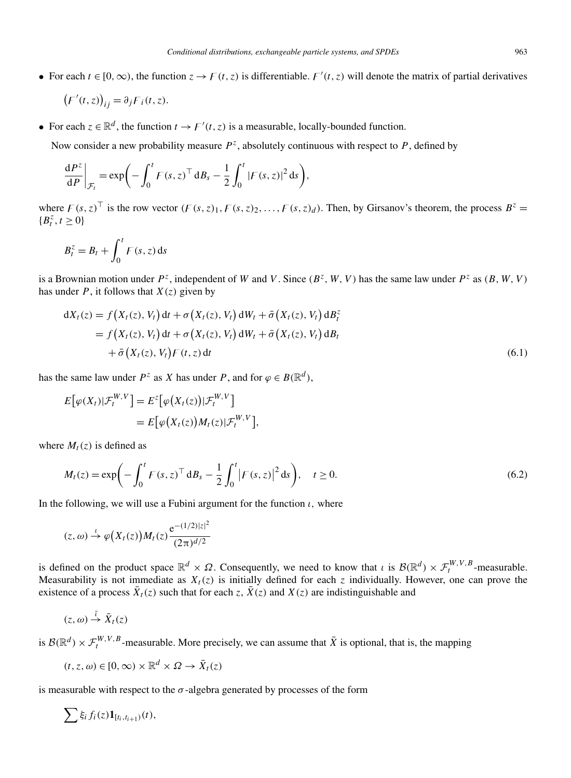<span id="page-17-0"></span>• For each  $t \in [0, \infty)$ , the function  $z \to F(t, z)$  is differentiable.  $F'(t, z)$  will denote the matrix of partial derivatives

$$
(F'(t,z))_{ij} = \partial_j F_i(t,z).
$$

• For each  $z \in \mathbb{R}^d$ , the function  $t \to F'(t, z)$  is a measurable, locally-bounded function.

Now consider a new probability measure  $P^z$ , absolutely continuous with respect to  $P$ , defined by

$$
\left. \frac{\mathrm{d}P^z}{\mathrm{d}P} \right|_{\mathcal{F}_t} = \exp\biggl(-\int_0^t F(s,z)^\top \mathrm{d}B_s - \frac{1}{2}\int_0^t |F(s,z)|^2 \mathrm{d}s\biggr),
$$

where  $F(s, z)$ <sup>T</sup> is the row vector  $(F(s, z)_1, F(s, z)_2, \ldots, F(s, z)_d)$ . Then, by Girsanov's theorem, the process  $B^z =$  ${B_t^z, t \ge 0}$ 

$$
B_t^z = B_t + \int_0^t F(s, z) \, \mathrm{d} s
$$

is a Brownian motion under  $P^z$ , independent of *W* and *V*. Since  $(B^z, W, V)$  has the same law under  $P^z$  as  $(B, W, V)$ has under  $P$ , it follows that  $X(z)$  given by

$$
dX_t(z) = f(X_t(z), V_t) dt + \sigma(X_t(z), V_t) dW_t + \bar{\sigma}(X_t(z), V_t) dB_t^z
$$
  
=  $f(X_t(z), V_t) dt + \sigma(X_t(z), V_t) dW_t + \bar{\sigma}(X_t(z), V_t) dB_t$   
+  $\bar{\sigma}(X_t(z), V_t) F(t, z) dt$  (6.1)

has the same law under  $P^z$  as *X* has under  $P$ , and for  $\varphi \in B(\mathbb{R}^d)$ ,

$$
E[\varphi(X_t)|\mathcal{F}_t^{W,V}] = E^z[\varphi(X_t(z))|\mathcal{F}_t^{W,V}]
$$
  
= 
$$
E[\varphi(X_t(z))M_t(z)|\mathcal{F}_t^{W,V}],
$$

where  $M_t(z)$  is defined as

$$
M_t(z) = \exp\left(-\int_0^t F(s, z)^\top d B_s - \frac{1}{2} \int_0^t |F(s, z)|^2 ds\right), \quad t \ge 0.
$$
 (6.2)

In the following, we will use a Fubini argument for the function  $\iota$ , where

$$
(z,\omega) \stackrel{\iota}{\rightarrow} \varphi\big(X_t(z)\big)M_t(z)\frac{\mathrm{e}^{-(1/2)|z|^2}}{(2\pi)^{d/2}}
$$

is defined on the product space  $\mathbb{R}^d \times \Omega$ . Consequently, we need to know that *ι* is  $\mathcal{B}(\mathbb{R}^d) \times \mathcal{F}^{W,V,B}_t$ -measurable. Measurability is not immediate as  $X_t(z)$  is initially defined for each *z* individually. However, one can prove the existence of a process  $\bar{X}_t(z)$  such that for each *z*,  $\bar{X}(z)$  and  $X(z)$  are indistinguishable and

$$
(z,\omega)\stackrel{\overline{\iota}}{\to}\bar{X}_t(z)
$$

is  $\mathcal{B}(\mathbb{R}^d) \times \mathcal{F}^{W,V,B}_t$ -measurable. More precisely, we can assume that  $\bar{X}$  is optional, that is, the mapping

$$
(t, z, \omega) \in [0, \infty) \times \mathbb{R}^d \times \Omega \to \bar{X}_t(z)
$$

is measurable with respect to the  $\sigma$ -algebra generated by processes of the form

$$
\sum \xi_i f_i(z) \mathbf{1}_{[t_i,t_{i+1})}(t),
$$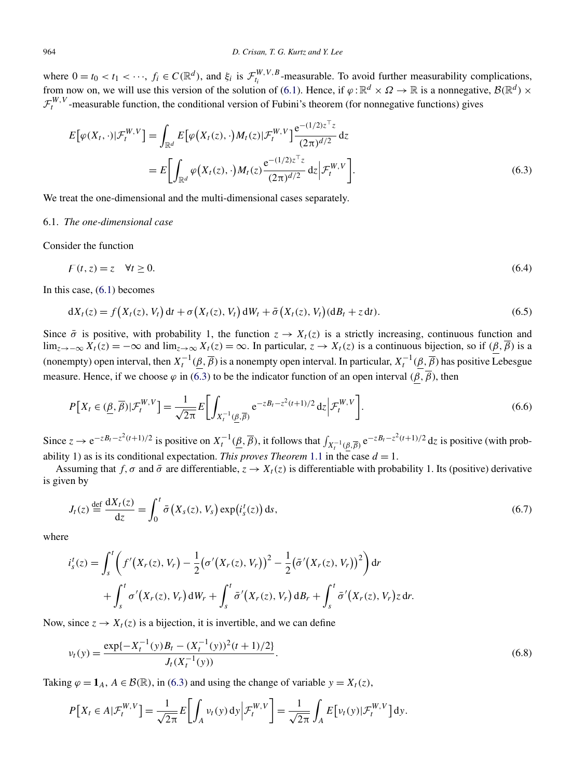<span id="page-18-0"></span>where  $0 = t_0 < t_1 < \cdots$ ,  $f_i \in C(\mathbb{R}^d)$ , and  $\xi_i$  is  $\mathcal{F}_{t_i}^{W,V,B}$ -measurable. To avoid further measurability complications, from now on, we will use this version of the solution of [\(6.1\)](#page-17-0). Hence, if  $\varphi : \mathbb{R}^d \times \Omega \to \mathbb{R}$  is a nonnegative,  $\mathcal{B}(\mathbb{R}^d) \times$  $\mathcal{F}^{W,V}_t$ -measurable function, the conditional version of Fubini's theorem (for nonnegative functions) gives

$$
E\big[\varphi(X_t,\cdot)|\mathcal{F}_t^{W,V}\big] = \int_{\mathbb{R}^d} E\big[\varphi\big(X_t(z),\cdot\big)M_t(z)|\mathcal{F}_t^{W,V}\big] \frac{e^{-(1/2)z^\top z}}{(2\pi)^{d/2}}dz
$$
  

$$
= E\bigg[\int_{\mathbb{R}^d} \varphi\big(X_t(z),\cdot\big)M_t(z)\frac{e^{-(1/2)z^\top z}}{(2\pi)^{d/2}}dz\big|\mathcal{F}_t^{W,V}\bigg].
$$
 (6.3)

We treat the one-dimensional and the multi-dimensional cases separately.

### 6.1. *The one-dimensional case*

Consider the function

$$
F(t, z) = z \quad \forall t \ge 0. \tag{6.4}
$$

In this case, [\(6.1\)](#page-17-0) becomes

$$
dX_t(z) = f(X_t(z), V_t) dt + \sigma(X_t(z), V_t) dW_t + \bar{\sigma}(X_t(z), V_t) (dB_t + z dt). \tag{6.5}
$$

Since  $\bar{\sigma}$  is positive, with probability 1, the function  $z \to X_t(z)$  is a strictly increasing, continuous function and lim<sub>z→−∞</sub>  $X_t(z) = -\infty$  and lim<sub>z→∞</sub>  $X_t(z) = \infty$ . In particular,  $z \to X_t(z)$  is a continuous bijection, so if  $(\beta, \overline{\beta})$  is a (nonempty) open interval, then  $X_t^{-1}(\underline{\beta}, \overline{\beta})$  is a nonempty open interval. In particular,  $X_t^{-1}(\underline{\beta}, \overline{\beta})$  has positive Lebesgue measure. Hence, if we choose  $\varphi$  in (6.3) to be the indicator function of an open interval  $(\beta, \overline{\beta})$ , then

$$
P[X_t \in (\underline{\beta}, \overline{\beta}) | \mathcal{F}_t^{W,V}] = \frac{1}{\sqrt{2\pi}} E\bigg[\int_{X_t^{-1}(\underline{\beta}, \overline{\beta})} e^{-zB_t - z^2(t+1)/2} dz \bigg| \mathcal{F}_t^{W,V}\bigg].
$$
\n(6.6)

Since  $z \to e^{-zB_t - z^2(t+1)/2}$  is positive on  $X_t^{-1}(\underline{\beta}, \overline{\beta})$ , it follows that  $\int_{X_t^{-1}(\underline{\beta}, \overline{\beta})} e^{-zB_t - z^2(t+1)/2} dz$  is positive (with probability 1) as is its conditional expectation. *This proves Theorem* [1.1](#page-3-0) in the case  $d = 1$ .

Assuming that *f*,  $\sigma$  and  $\bar{\sigma}$  are differentiable,  $z \to X_t(z)$  is differentiable with probability 1. Its (positive) derivative is given by

$$
J_t(z) \stackrel{\text{def}}{=} \frac{dX_t(z)}{dz} = \int_0^t \bar{\sigma}\left(X_s(z), V_s\right) \exp\left(i_s^t(z)\right) ds,\tag{6.7}
$$

where

$$
i_s^t(z) = \int_s^t \left( f'(X_r(z), V_r) - \frac{1}{2} (\sigma'(X_r(z), V_r))^2 - \frac{1}{2} (\bar{\sigma}'(X_r(z), V_r))^2 \right) dr + \int_s^t \sigma'(X_r(z), V_r) dW_r + \int_s^t \bar{\sigma}'(X_r(z), V_r) dB_r + \int_s^t \bar{\sigma}'(X_r(z), V_r) z dr.
$$

Now, since  $z \to X_t(z)$  is a bijection, it is invertible, and we can define

$$
v_t(y) = \frac{\exp\{-X_t^{-1}(y)B_t - (X_t^{-1}(y))^2(t+1)/2\}}{J_t(X_t^{-1}(y))}.
$$
\n(6.8)

Taking  $\varphi = \mathbf{1}_A$ ,  $A \in \mathcal{B}(\mathbb{R})$ , in (6.3) and using the change of variable  $y = X_t(z)$ ,

$$
P[X_t \in A | \mathcal{F}_t^{W,V}] = \frac{1}{\sqrt{2\pi}} E\bigg[\int_A \nu_t(y) \, dy \bigg| \mathcal{F}_t^{W,V}\bigg] = \frac{1}{\sqrt{2\pi}} \int_A E\big[\nu_t(y) | \mathcal{F}_t^{W,V}\big] \, dy.
$$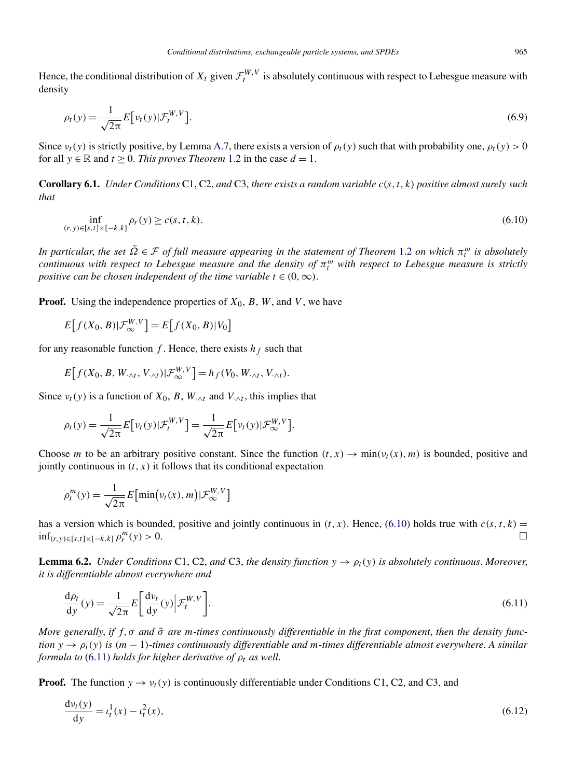<span id="page-19-0"></span>Hence, the conditional distribution of  $X_t$  given  $\mathcal{F}^{W,V}_t$  is absolutely continuous with respect to Lebesgue measure with density

$$
\rho_t(y) = \frac{1}{\sqrt{2\pi}} E\big[\nu_t(y)|\mathcal{F}_t^{W,V}\big].\tag{6.9}
$$

Since  $v_t(y)$  is strictly positive, by Lemma [A.7,](#page-26-0) there exists a version of  $\rho_t(y)$  such that with probability one,  $\rho_t(y) > 0$ for all  $y \in \mathbb{R}$  and  $t > 0$ . *This proves Theorem* [1.2](#page-3-0) in the case  $d = 1$ .

**Corollary 6.1.** *Under Conditions* C1, C2, *and* C3, *there exists a random variable c(s,t,k) positive almost surely such that*

$$
\inf_{(r,y)\in[s,t]\times[-k,k]} \rho_r(y) \ge c(s,t,k). \tag{6.10}
$$

*In particular, the set*  $\tilde{\Omega} \in \mathcal{F}$  *of full measure appearing in the statement of Theorem* [1.2](#page-3-0) *on which*  $\pi_t^{\omega}$  *is absolutely continuous with respect to Lebesgue measure and the density of*  $\pi_t^{\omega}$  with respect to Lebesgue measure is strictly *positive can be chosen independent of the time variable*  $t \in (0, \infty)$ .

**Proof.** Using the independence properties of  $X_0$ ,  $B$ ,  $W$ , and  $V$ , we have

$$
E[f(X_0, B)|\mathcal{F}_{\infty}^{W,V}]=E[f(X_0, B)|V_0]
$$

for any reasonable function  $f$ . Hence, there exists  $h_f$  such that

$$
E[f(X_0, B, W_{\cdot \wedge t}, V_{\cdot \wedge t}) | \mathcal{F}_{\infty}^{W, V}]=h_f(V_0, W_{\cdot \wedge t}, V_{\cdot \wedge t}).
$$

Since  $v_t(y)$  is a function of  $X_0$ ,  $B$ ,  $W_{\cdot \wedge t}$  and  $V_{\cdot \wedge t}$ , this implies that

$$
\rho_t(y) = \frac{1}{\sqrt{2\pi}} E\big[\nu_t(y)|\mathcal{F}_t^{W,V}\big] = \frac{1}{\sqrt{2\pi}} E\big[\nu_t(y)|\mathcal{F}_{\infty}^{W,V}\big].
$$

Choose *m* to be an arbitrary positive constant. Since the function  $(t, x) \rightarrow min(v_t(x), m)$  is bounded, positive and jointly continuous in  $(t, x)$  it follows that its conditional expectation

$$
\rho_t^m(y) = \frac{1}{\sqrt{2\pi}} E\big[\min(v_t(x), m)|\mathcal{F}_{\infty}^{W, V}\big]
$$

has a version which is bounded, positive and jointly continuous in  $(t, x)$ . Hence, (6.10) holds true with  $c(s, t, k)$  =  $\inf_{(r,v)\in[s,t]\times[-k,k]} \rho_r^m(v) > 0.$  $r^{m}(y) > 0.$ 

**Lemma 6.2.** *Under Conditions* C1, C2, *and* C3, *the density function*  $y \to \rho_t(y)$  *is absolutely continuous. Moreover, it is differentiable almost everywhere and*

$$
\frac{d\rho_t}{dy}(y) = \frac{1}{\sqrt{2\pi}} E\left[\frac{d\nu_t}{dy}(y)\middle|\mathcal{F}_t^{W,V}\right].\tag{6.11}
$$

*More generally, if f, σ and*  $\bar{\sigma}$  *are m-times continuously differentiable in the first component, then the density function*  $y \rightarrow \rho_t(y)$  *is*  $(m-1)$ *-times continuously differentiable and m-times differentiable almost everywhere. A similar formula to* (6.11) *holds for higher derivative of*  $\rho_t$  *as well.* 

**Proof.** The function  $y \rightarrow v_t(y)$  is continuously differentiable under Conditions C1, C2, and C3, and

$$
\frac{dv_t(y)}{dy} = t_t^1(x) - t_t^2(x),
$$
\n(6.12)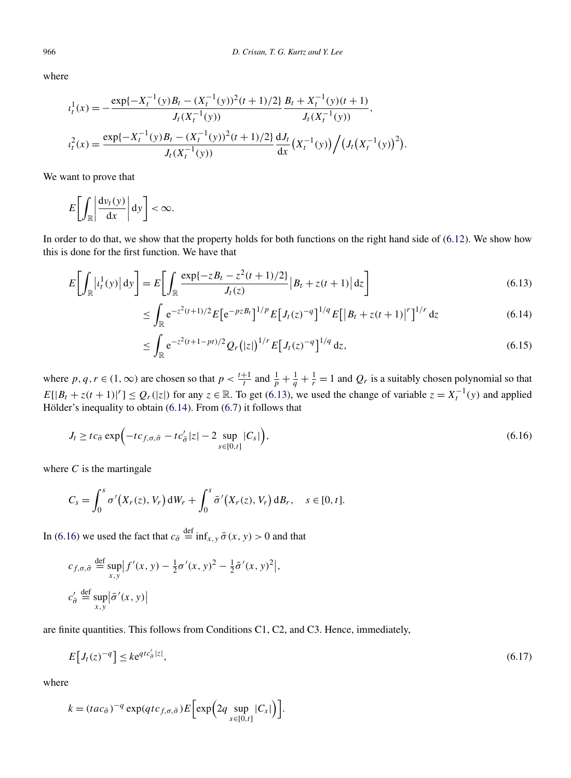where

$$
t_t^1(x) = -\frac{\exp\{-X_t^{-1}(y)B_t - (X_t^{-1}(y))^2(t+1)/2\}}{J_t(X_t^{-1}(y))} \frac{B_t + X_t^{-1}(y)(t+1)}{J_t(X_t^{-1}(y))},
$$
  

$$
t_t^2(x) = \frac{\exp\{-X_t^{-1}(y)B_t - (X_t^{-1}(y))^2(t+1)/2\}}{J_t(X_t^{-1}(y))} \frac{dJ_t}{dx}(X_t^{-1}(y)) / (J_t(X_t^{-1}(y))^2).
$$

We want to prove that

$$
E\bigg[\int_{\mathbb{R}}\bigg|\frac{\mathrm{d}\nu_t(y)}{\mathrm{d}x}\bigg|\,\mathrm{d}y\bigg]<\infty.
$$

In order to do that, we show that the property holds for both functions on the right hand side of [\(6.12\)](#page-19-0). We show how this is done for the first function. We have that

$$
E\bigg[\int_{\mathbb{R}} |t_t^1(y)| dy\bigg] = E\bigg[\int_{\mathbb{R}} \frac{\exp\{-z(t+1)/2\}}{J_t(z)} |B_t + z(t+1)| dz\bigg]
$$
(6.13)

$$
\leq \int_{\mathbb{R}} e^{-z^2(t+1)/2} E\big[e^{-pzB_t}\big]^{1/p} E\big[J_t(z)^{-q}\big]^{1/q} E\big[\big|B_t + z(t+1)\big|^r\big]^{1/r} dz \tag{6.14}
$$

$$
\leq \int_{\mathbb{R}} e^{-z^2(t+1-pt)/2} Q_r(|z|)^{1/r} E\big[J_t(z)^{-q}\big]^{1/q} dz,
$$
\n(6.15)

where *p*, *q*, *r*  $\in$  (1,  $\infty$ ) are chosen so that  $p < \frac{t+1}{t}$  and  $\frac{1}{p} + \frac{1}{q} + \frac{1}{r} = 1$  and  $Q_r$  is a suitably chosen polynomial so that  $E[|B_t + z(t+1)|^r] \leq Q_r(|z|)$  for any  $z \in \mathbb{R}$ . To get (6.13), we used the change of variable  $z = X_t^{-1}(y)$  and applied Hölder's inequality to obtain (6.14). From [\(6.7\)](#page-18-0) it follows that

$$
J_t \ge tc_{\bar{\sigma}} \exp\left(-tc_{f,\sigma,\bar{\sigma}} - tc_{\bar{\sigma}}' |z| - 2 \sup_{s \in [0,t]} |C_s| \right),\tag{6.16}
$$

where  $C$  is the martingale

$$
C_s = \int_0^s \sigma'(X_r(z), V_r) dW_r + \int_0^s \bar{\sigma}'(X_r(z), V_r) dB_r, \quad s \in [0, t].
$$

In (6.16) we used the fact that  $c_{\bar{\sigma}} \stackrel{\text{def}}{=} \inf_{x,y} \bar{\sigma}(x,y) > 0$  and that

$$
c_{f,\sigma,\bar{\sigma}} \stackrel{\text{def}}{=} \sup_{x,y} |f'(x,y) - \frac{1}{2}\sigma'(x,y)|^2 - \frac{1}{2}\bar{\sigma}'(x,y)|,
$$
  

$$
c_{\bar{\sigma}}' \stackrel{\text{def}}{=} \sup_{x,y} |\bar{\sigma}'(x,y)|
$$

are finite quantities. This follows from Conditions C1, C2, and C3. Hence, immediately,

$$
E[J_t(z)^{-q}] \le k e^{qtc_{\sigma}^t |z|},\tag{6.17}
$$

where

$$
k = (tac_{\bar{\sigma}})^{-q} \exp(qtc_{f,\sigma,\bar{\sigma}}) E\Big[\exp\Big(2q \sup_{s \in [0,t]} |C_s|\Big)\Big].
$$

<span id="page-20-0"></span>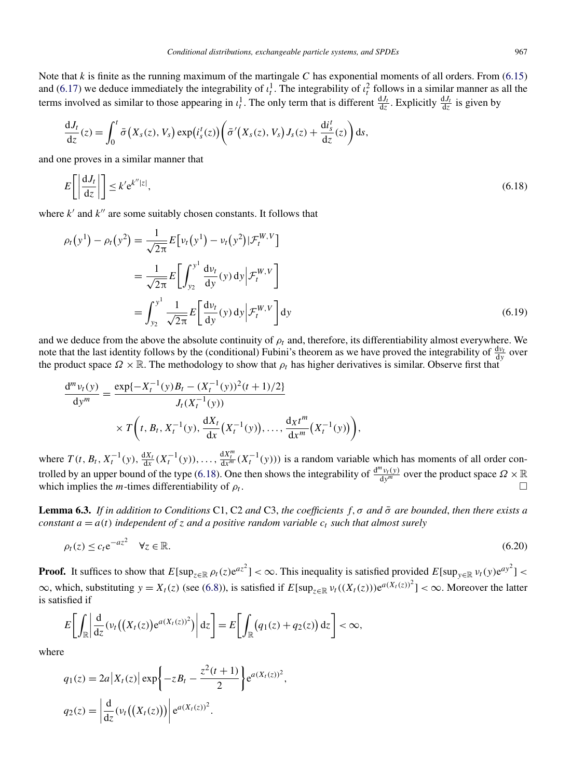<span id="page-21-0"></span>Note that  $k$  is finite as the running maximum of the martingale  $C$  has exponential moments of all orders. From [\(6.15\)](#page-20-0) and [\(6.17\)](#page-20-0) we deduce immediately the integrability of  $\iota_t^1$ . The integrability of  $\iota_t^2$  follows in a similar manner as all the terms involved as similar to those appearing in  $\iota_t^1$ . The only term that is different  $\frac{dJ_t}{dz}$ . Explicitly  $\frac{dJ_t}{dz}$  is given by

$$
\frac{dJ_t}{dz}(z) = \int_0^t \bar{\sigma}\big(X_s(z), V_s\big) \exp\big(i_s^t(z)\big) \bigg(\bar{\sigma}'\big(X_s(z), V_s\big)J_s(z) + \frac{di_s^t}{dz}(z)\bigg) ds,
$$

and one proves in a similar manner that

$$
E\left[\left|\frac{\mathrm{d}J_t}{\mathrm{d}z}\right|\right] \le k' \mathrm{e}^{k''|z|},\tag{6.18}
$$

where  $k'$  and  $k''$  are some suitably chosen constants. It follows that

$$
\rho_t(y^1) - \rho_t(y^2) = \frac{1}{\sqrt{2\pi}} E\left[\nu_t(y^1) - \nu_t(y^2)|\mathcal{F}_t^{W,V}\right]
$$
  
\n
$$
= \frac{1}{\sqrt{2\pi}} E\left[\int_{y_2}^{y^1} \frac{d\nu_t}{dy}(y) dy \middle| \mathcal{F}_t^{W,V}\right]
$$
  
\n
$$
= \int_{y_2}^{y^1} \frac{1}{\sqrt{2\pi}} E\left[\frac{d\nu_t}{dy}(y) dy \middle| \mathcal{F}_t^{W,V}\right] dy
$$
(6.19)

and we deduce from the above the absolute continuity of  $\rho_t$  and, therefore, its differentiability almost everywhere. We note that the last identity follows by the (conditional) Fubini's theorem as we have proved the integrability of  $\frac{dv_t}{dy}$  over the product space  $\Omega \times \mathbb{R}$ . The methodology to show that  $\rho_t$  has higher derivatives is similar. Observe first that

$$
\frac{d^m v_t(y)}{dy^m} = \frac{\exp\{-X_t^{-1}(y)B_t - (X_t^{-1}(y))^2(t+1)/2\}}{J_t(X_t^{-1}(y))} \times T\left(t, B_t, X_t^{-1}(y), \frac{dX_t}{dx}(X_t^{-1}(y)), \dots, \frac{dX_t^{m}}{dx^{m}}(X_t^{-1}(y))\right),
$$

where  $T(t, B_t, X_t^{-1}(y), \frac{dX_t}{dx}(X_t^{-1}(y)), \ldots, \frac{dX_t^m}{dx^m}(X_t^{-1}(y)))$  is a random variable which has moments of all order controlled by an upper bound of the type (6.18). One then shows the integrability of  $\frac{d^m v_t(y)}{dy^m}$  over the product space  $\Omega \times \mathbb{R}$ which implies the *m*-times differentiability of  $\rho_t$ .

**Lemma 6.3.** *If in addition to Conditions* C1, C2 *and* C3, *the coefficients f,σ and σ*¯ *are bounded*, *then there exists a constant*  $a = a(t)$  *independent* of *z* and a positive random variable  $c_t$  such that almost surely

$$
\rho_t(z) \le c_t e^{-az^2} \quad \forall z \in \mathbb{R}.\tag{6.20}
$$

**Proof.** It suffices to show that  $E[\sup_{z \in \mathbb{R}} \rho_t(z) e^{az^2}] < \infty$ . This inequality is satisfied provided  $E[\sup_{y \in \mathbb{R}} v_t(y) e^{ay^2}] <$  $\infty$ , which, substituting  $y = X_t(z)$  (see [\(6.8\)](#page-18-0)), is satisfied if  $E[\sup_{z \in \mathbb{R}} v_t((X_t(z)))e^{a(X_t(z))^2}] < \infty$ . Moreover the latter is satisfied if

$$
E\bigg[\int_{\mathbb{R}}\bigg|\frac{d}{dz}(v_t\big(\big(X_t(z)\big)e^{a(X_t(z))^2})\bigg|dz\bigg]=E\bigg[\int_{\mathbb{R}}\big(q_1(z)+q_2(z)\big)dz\bigg]<\infty,
$$

where

$$
q_1(z) = 2a |X_t(z)| \exp \left\{-zB_t - \frac{z^2(t+1)}{2}\right\} e^{a(X_t(z))^2},
$$
  

$$
q_2(z) = \left|\frac{d}{dz}(v_t((X_t(z)))\right| e^{a(X_t(z))^2}.
$$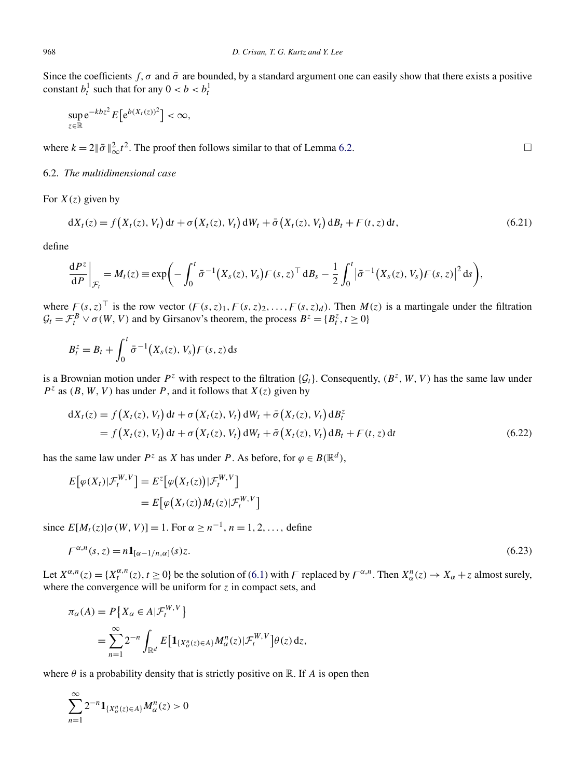Since the coefficients  $f, \sigma$  and  $\bar{\sigma}$  are bounded, by a standard argument one can easily show that there exists a positive constant  $b_t^1$  such that for any  $0 < b < b_t^1$ 

$$
\sup_{z\in\mathbb{R}}e^{-kbz^2}E\big[e^{b(X_t(z))^2}\big]<\infty,
$$

where  $k = 2 \|\bar{\sigma}\|_{\infty}^2 t^2$ . The proof then follows similar to that of Lemma [6.2.](#page-19-0)

## 6.2. *The multidimensional case*

For  $X(z)$  given by

$$
dX_t(z) = f(X_t(z), V_t) dt + \sigma(X_t(z), V_t) dW_t + \bar{\sigma}(X_t(z), V_t) dB_t + F(t, z) dt,
$$
\n(6.21)

define

$$
\frac{\mathrm{d}P^z}{\mathrm{d}P}\bigg|_{\mathcal{F}_t} = M_t(z) \equiv \exp\bigg(-\int_0^t \bar{\sigma}^{-1}\big(X_s(z), V_s\big) F(s, z)^\top \mathrm{d}B_s - \frac{1}{2}\int_0^t \big|\bar{\sigma}^{-1}\big(X_s(z), V_s\big) F(s, z)\big|^2 \mathrm{d}s\bigg),
$$

where  $F(s, z)$ <sup>T</sup> is the row vector  $(F(s, z)_{1}, F(s, z)_{2}, \ldots, F(s, z)_{d})$ . Then  $M(z)$  is a martingale under the filtration  $\mathcal{G}_t = \mathcal{F}_t^B \vee \sigma(W, V)$  and by Girsanov's theorem, the process  $B^z = \{B_t^z, t \ge 0\}$ 

$$
B_t^z = B_t + \int_0^t \bar{\sigma}^{-1}(X_s(z), V_s) F(s, z) \, ds
$$

is a Brownian motion under  $P^z$  with respect to the filtration  $\{\mathcal{G}_t\}$ . Consequently,  $(B^z, W, V)$  has the same law under  $P^z$  as  $(B, W, V)$  has under *P*, and it follows that  $X(z)$  given by

$$
dX_t(z) = f(X_t(z), V_t) dt + \sigma(X_t(z), V_t) dW_t + \bar{\sigma}(X_t(z), V_t) dB_t^z
$$
  
=  $f(X_t(z), V_t) dt + \sigma(X_t(z), V_t) dW_t + \bar{\sigma}(X_t(z), V_t) dB_t + F(t, z) dt$  (6.22)

has the same law under  $P^z$  as *X* has under *P*. As before, for  $\varphi \in B(\mathbb{R}^d)$ ,

$$
E[\varphi(X_t)|\mathcal{F}_t^{W,V}] = E^z[\varphi(X_t(z))|\mathcal{F}_t^{W,V}]
$$
  
= 
$$
E[\varphi(X_t(z))M_t(z)|\mathcal{F}_t^{W,V}]
$$

since  $E[M_t(z)|\sigma(W, V)] = 1$ . For  $\alpha \geq n^{-1}$ ,  $n = 1, 2, \ldots$ , define

$$
F^{\alpha,n}(s,z) = n \mathbf{1}_{[\alpha-1/n,\alpha]}(s)z. \tag{6.23}
$$

Let  $X^{\alpha,n}(z) = \{X^{\alpha,n}_t(z), t \ge 0\}$  be the solution of [\(6.1\)](#page-17-0) with F replaced by  $F^{\alpha,n}$ . Then  $X^n_\alpha(z) \to X_\alpha + z$  almost surely, where the convergence will be uniform for  $z$  in compact sets, and

$$
\pi_{\alpha}(A) = P\{X_{\alpha} \in A | \mathcal{F}_{t}^{W,V}\}
$$
  
= 
$$
\sum_{n=1}^{\infty} 2^{-n} \int_{\mathbb{R}^{d}} E\big[\mathbf{1}_{\{X_{\alpha}^{n}(z) \in A\}} M_{\alpha}^{n}(z) | \mathcal{F}_{t}^{W,V}\big] \theta(z) dz,
$$

where  $\theta$  is a probability density that is strictly positive on  $\mathbb{R}$ . If *A* is open then

$$
\sum_{n=1}^{\infty} 2^{-n} \mathbf{1}_{\{X_{\alpha}^{n}(z) \in A\}} M_{\alpha}^{n}(z) > 0
$$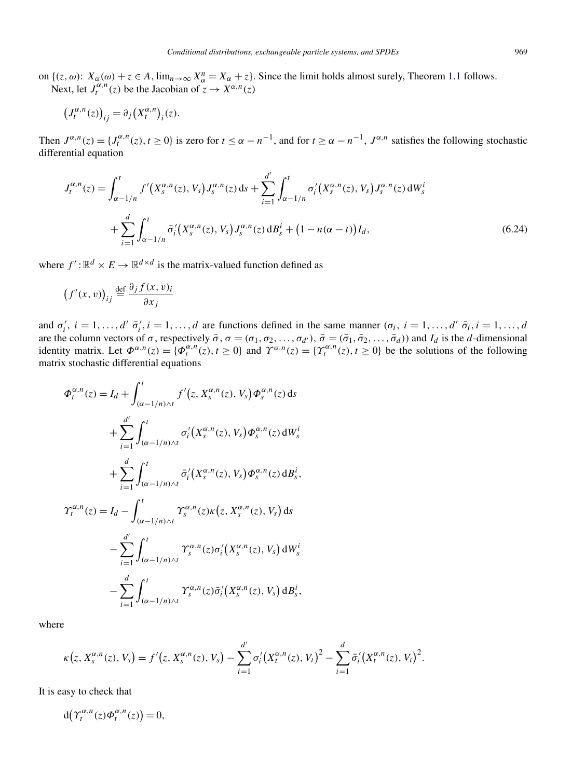<span id="page-23-0"></span>on  $\{(z,\omega): X_\alpha(\omega) + z \in A, \lim_{n \to \infty} X_\alpha^n = X_\alpha + z\}$ . Since the limit holds almost surely, Theorem [1.1](#page-3-0) follows. Next, let  $J_t^{\alpha,n}(z)$  be the Jacobian of  $\tilde{z} \to X^{\alpha,n}(z)$ 

$$
(J_t^{\alpha,n}(z))_{ij} = \partial_j (X_t^{\alpha,n})_i(z).
$$

Then  $J^{\alpha,n}(z) = \{J_t^{\alpha,n}(z), t \ge 0\}$  is zero for  $t \le \alpha - n^{-1}$ , and for  $t \ge \alpha - n^{-1}$ ,  $J^{\alpha,n}$  satisfies the following stochastic differential equation

$$
J_t^{\alpha,n}(z) = \int_{\alpha-1/n}^t f'(X_s^{\alpha,n}(z), V_s) J_s^{\alpha,n}(z) \, ds + \sum_{i=1}^{d'} \int_{\alpha-1/n}^t \sigma'_i(X_s^{\alpha,n}(z), V_s) J_s^{\alpha,n}(z) \, dW_s^i
$$

$$
+ \sum_{i=1}^d \int_{\alpha-1/n}^t \bar{\sigma}'_i(X_s^{\alpha,n}(z), V_s) J_s^{\alpha,n}(z) \, dB_s^i + (1 - n(\alpha - t)) I_d,
$$
(6.24)

where  $f' : \mathbb{R}^d \times E \to \mathbb{R}^{d \times d}$  is the matrix-valued function defined as

$$
(f'(x,v))_{ij} \stackrel{\text{def}}{=} \frac{\partial_j f(x,v)_i}{\partial x_j}
$$

and  $\sigma'_i$ ,  $i = 1, ..., d'$   $\bar{\sigma}'_i$ ,  $i = 1, ..., d$  are functions defined in the same manner  $(\sigma_i, i = 1, ..., d'$   $\bar{\sigma}_i, i = 1, ..., d'$ are the column vectors of  $\sigma$ , respectively  $\bar{\sigma}$ ,  $\sigma = (\sigma_1, \sigma_2, ..., \sigma_{d'})$ ,  $\bar{\sigma} = (\bar{\sigma}_1, \bar{\sigma}_2, ..., \bar{\sigma}_d)$  and  $I_d$  is the d-dimensional identity matrix. Let  $\Phi^{\alpha,n}(z) = {\Phi^{\alpha,n}_t(z), t \ge 0}$  and  $\Upsilon^{\alpha,n}(z) = {\Upsilon^{\alpha,n}_t(z), t \ge 0}$  be the solutions of the following matrix stochastic differential equations

$$
\Phi_t^{\alpha,n}(z) = I_d + \int_{(\alpha-1/n)\wedge t}^t f'(z, X_s^{\alpha,n}(z), V_s) \Phi_s^{\alpha,n}(z) ds
$$
  
+ 
$$
\sum_{i=1}^{d'} \int_{(\alpha-1/n)\wedge t}^t \sigma'_i(X_s^{\alpha,n}(z), V_s) \Phi_s^{\alpha,n}(z) dW_s^i
$$
  
+ 
$$
\sum_{i=1}^d \int_{(\alpha-1/n)\wedge t}^t \bar{\sigma}'_i(X_s^{\alpha,n}(z), V_s) \Phi_s^{\alpha,n}(z) dB_s^i,
$$
  

$$
\Upsilon_t^{\alpha,n}(z) = I_d - \int_{(\alpha-1/n)\wedge t}^t \Upsilon_s^{\alpha,n}(z) \kappa(z, X_s^{\alpha,n}(z), V_s) ds
$$
  
- 
$$
\sum_{i=1}^{d'} \int_{(\alpha-1/n)\wedge t}^t \Upsilon_s^{\alpha,n}(z) \sigma'_i(X_s^{\alpha,n}(z), V_s) dW_s^i
$$
  
- 
$$
\sum_{i=1}^d \int_{(\alpha-1/n)\wedge t}^t \Upsilon_s^{\alpha,n}(z) \bar{\sigma}'_i(X_s^{\alpha,n}(z), V_s) dB_s^i,
$$

where

$$
\kappa(z, X_s^{\alpha,n}(z), V_s) = f'(z, X_s^{\alpha,n}(z), V_s) - \sum_{i=1}^{d'} \sigma'_i (X_t^{\alpha,n}(z), V_t)^2 - \sum_{i=1}^{d} \bar{\sigma}'_i (X_t^{\alpha,n}(z), V_t)^2.
$$

It is easy to check that

 $d(\Upsilon_t^{\alpha,n}(z)\Phi_t^{\alpha,n}(z))=0,$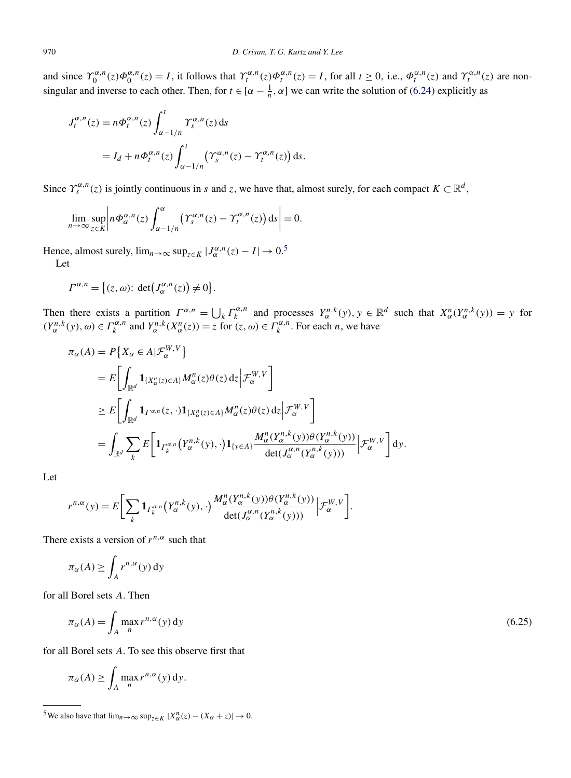<span id="page-24-0"></span>and since  $\Upsilon_0^{\alpha,n}(z)\Phi_0^{\alpha,n}(z) = I$ , it follows that  $\Upsilon_t^{\alpha,n}(z)\Phi_t^{\alpha,n}(z) = I$ , for all  $t \ge 0$ , i.e.,  $\Phi_t^{\alpha,n}(z)$  and  $\Upsilon_t^{\alpha,n}(z)$  are nonsingular and inverse to each other. Then, for  $t \in [\alpha - \frac{1}{n}, \alpha]$  we can write the solution of [\(6.24\)](#page-23-0) explicitly as

$$
J_t^{\alpha,n}(z) = n\Phi_t^{\alpha,n}(z) \int_{\alpha-1/n}^t \Upsilon_s^{\alpha,n}(z) ds
$$
  
=  $I_d + n\Phi_t^{\alpha,n}(z) \int_{\alpha-1/n}^t (\Upsilon_s^{\alpha,n}(z) - \Upsilon_t^{\alpha,n}(z)) ds.$ 

Since  $\Upsilon_s^{\alpha,n}(z)$  is jointly continuous in *s* and *z*, we have that, almost surely, for each compact  $K \subset \mathbb{R}^d$ ,

$$
\lim_{n\to\infty}\sup_{z\in K}\left|n\Phi_{\alpha}^{\alpha,n}(z)\int_{\alpha-1/n}^{\alpha}\left(\Upsilon_{s}^{\alpha,n}(z)-\Upsilon_{t}^{\alpha,n}(z)\right)\mathrm{d}s\right|=0.
$$

Hence, almost surely,  $\lim_{n\to\infty} \sup_{z\in K} |J^{\alpha,n}_{\alpha}(z) - I| \to 0.5$ 

Let

$$
\Gamma^{\alpha,n} = \big\{ (z,\omega) \colon \det \big( J^{\alpha,n}_{\alpha}(z) \big) \neq 0 \big\}.
$$

Then there exists a partition  $\Gamma^{\alpha,n} = \bigcup_k \Gamma_k^{\alpha,n}$  and processes  $Y_\alpha^{n,k}(y), y \in \mathbb{R}^d$  such that  $X_\alpha^n(Y_\alpha^{n,k}(y)) = y$  for  $(Y_\alpha^{n,k}(y), \omega) \in \Gamma_k^{\alpha, n}$  and  $Y_\alpha^{n,k}(X_\alpha^n(z)) = z$  for  $(z, \omega) \in \Gamma_k^{\alpha, n}$ . For each *n*, we have

$$
\pi_{\alpha}(A) = P\{X_{\alpha} \in A | \mathcal{F}_{\alpha}^{W,V}\}\
$$
\n
$$
= E\left[\int_{\mathbb{R}^d} \mathbf{1}_{\{X_{\alpha}^n(z) \in A\}} M_{\alpha}^n(z) \theta(z) dz \Big| \mathcal{F}_{\alpha}^{W,V}\right]
$$
\n
$$
\geq E\left[\int_{\mathbb{R}^d} \mathbf{1}_{\Gamma^{\alpha,n}}(z, \cdot) \mathbf{1}_{\{X_{\alpha}^n(z) \in A\}} M_{\alpha}^n(z) \theta(z) dz \Big| \mathcal{F}_{\alpha}^{W,V}\right]
$$
\n
$$
= \int_{\mathbb{R}^d} \sum_{k} E\left[\mathbf{1}_{\Gamma_k^{\alpha,n}} (Y_{\alpha}^{n,k}(y), \cdot) \mathbf{1}_{\{y \in A\}} \frac{M_{\alpha}^n(Y_{\alpha}^{n,k}(y)) \theta(Y_{\alpha}^{n,k}(y))}{\det(J_{\alpha}^{\alpha,n}(Y_{\alpha}^{n,k}(y)))} \Big| \mathcal{F}_{\alpha}^{W,V}\right] dy.
$$

Let

$$
r^{n,\alpha}(y) = E\bigg[\sum_{k} \mathbf{1}_{\Gamma_k^{\alpha,n}}\big(Y_{\alpha}^{n,k}(y),\cdot\big)\frac{M_{\alpha}^n(Y_{\alpha}^{n,k}(y))\theta(Y_{\alpha}^{n,k}(y))}{\det(J_{\alpha}^{\alpha,n}(Y_{\alpha}^{n,k}(y)))}\bigg|\mathcal{F}_{\alpha}^{W,V}\bigg].
$$

There exists a version of  $r^{n,\alpha}$  such that

$$
\pi_{\alpha}(A) \ge \int_A r^{n,\alpha}(y) \, \mathrm{d}y
$$

for all Borel sets *A*. Then

$$
\pi_{\alpha}(A) = \int_{A} \max_{n} r^{n,\alpha}(y) \, \mathrm{d}y \tag{6.25}
$$

for all Borel sets *A*. To see this observe first that

$$
\pi_{\alpha}(A) \ge \int_{A} \max_{n} r^{n, \alpha}(y) \, dy.
$$

<sup>5</sup>We also have that  $\lim_{n\to\infty} \sup_{z \in K} |X^n_\alpha(z) - (X_\alpha + z)| \to 0$ .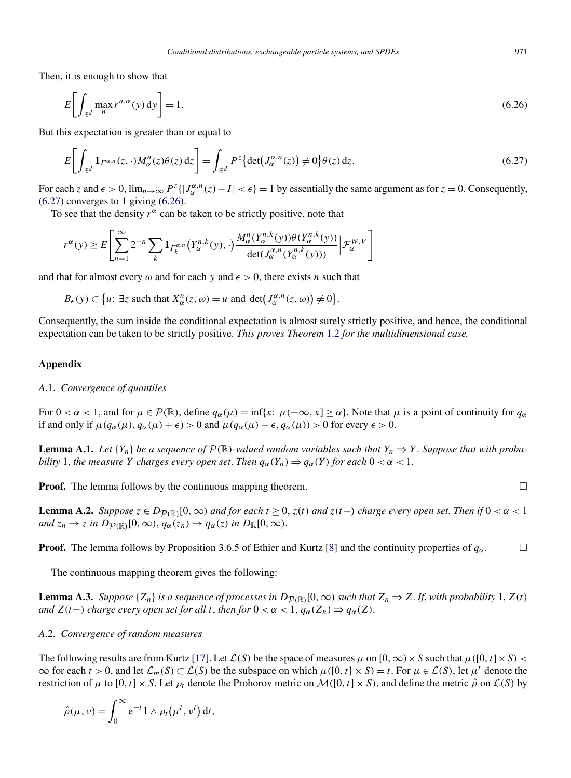<span id="page-25-0"></span>Then, it is enough to show that

$$
E\bigg[\int_{\mathbb{R}^d} \max_n r^{n,\alpha}(y) \, \mathrm{d}y\bigg] = 1. \tag{6.26}
$$

But this expectation is greater than or equal to

$$
E\bigg[\int_{\mathbb{R}^d} \mathbf{1}_{\Gamma^{\alpha,n}}(z,\cdot) M^n_{\alpha}(z)\theta(z) dz\bigg] = \int_{\mathbb{R}^d} P^z \big\{ \det(J^{\alpha,n}_{\alpha}(z)) \neq 0 \big\} \theta(z) dz. \tag{6.27}
$$

For each *z* and  $\epsilon > 0$ ,  $\lim_{n \to \infty} P^z \{ |J_\alpha^{\alpha,n}(z) - I| < \epsilon \} = 1$  by essentially the same argument as for  $z = 0$ . Consequently,  $(6.27)$  converges to 1 giving  $(6.26)$ .

To see that the density  $r^{\alpha}$  can be taken to be strictly positive, note that

$$
r^{\alpha}(y) \geq E \left[ \sum_{n=1}^{\infty} 2^{-n} \sum_{k} \mathbf{1}_{\Gamma_k^{\alpha,n}} (Y_{\alpha}^{n,k}(y), \cdot) \frac{M_{\alpha}^n(Y_{\alpha}^{n,k}(y)) \theta(Y_{\alpha}^{n,k}(y))}{\det(J_{\alpha}^{\alpha,n}(Y_{\alpha}^{n,k}(y)))} \Big| \mathcal{F}_{\alpha}^{W,V} \right]
$$

and that for almost every  $\omega$  and for each y and  $\epsilon > 0$ , there exists *n* such that

$$
B_{\epsilon}(y) \subset \{u: \exists z \text{ such that } X_{\alpha}^{n}(z, \omega) = u \text{ and } \det(J_{\alpha}^{\alpha, n}(z, \omega)) \neq 0\}.
$$

Consequently, the sum inside the conditional expectation is almost surely strictly positive, and hence, the conditional expectation can be taken to be strictly positive. *This proves Theorem* [1.2](#page-3-0) *for the multidimensional case.*

### **Appendix**

## *A*.1. *Convergence of quantiles*

For  $0 < \alpha < 1$ , and for  $\mu \in \mathcal{P}(\mathbb{R})$ , define  $q_{\alpha}(\mu) = \inf\{x: \mu(-\infty, x] \ge \alpha\}$ . Note that  $\mu$  is a point of continuity for  $q_{\alpha}$ if and only if  $\mu(q_\alpha(\mu), q_\alpha(\mu) + \epsilon) > 0$  and  $\mu(q_\alpha(\mu) - \epsilon, q_\alpha(\mu)) > 0$  for every  $\epsilon > 0$ .

**Lemma A.1.** Let  $\{Y_n\}$  be a sequence of  $\mathcal{P}(\mathbb{R})$ -valued random variables such that  $Y_n \Rightarrow Y$ . Suppose that with proba*bility* 1, *the measure Y charges every open set. Then*  $q_{\alpha}(Y_n) \Rightarrow q_{\alpha}(Y)$  *for each*  $0 < \alpha < 1$ .

**Proof.** The lemma follows by the continuous mapping theorem.

**Lemma A.2.** Suppose  $z \in D_{\mathcal{P}(\mathbb{R})}[0,\infty)$  and for each  $t \ge 0$ ,  $z(t)$  and  $z(t-)$  charge every open set. Then if  $0 < \alpha < 1$ *and*  $z_n \to z$  *in*  $D_{\mathcal{P}(\mathbb{R})}[0,\infty)$ ,  $q_\alpha(z_n) \to q_\alpha(z)$  *in*  $D_{\mathbb{R}}[0,\infty)$ .

**Proof.** The lemma follows by Proposition 3.6.5 of Ethier and Kurtz [\[8\]](#page-27-0) and the continuity properties of  $q_\alpha$ .

The continuous mapping theorem gives the following:

**Lemma A.3.** *Suppose*  $\{Z_n\}$  *is a sequence of processes in*  $D_{\mathcal{P}(\mathbb{R})}[0,\infty)$  *such that*  $Z_n \Rightarrow Z$ *. If, with probability* 1,  $Z(t)$ *and*  $Z(t-)$  *charge every open set for all t, then for*  $0 < \alpha < 1$ ,  $q_\alpha(Z_n) \Rightarrow q_\alpha(Z)$ .

#### *A*.2. *Convergence of random measures*

The following results are from Kurtz [\[17\]](#page-28-0). Let  $\mathcal{L}(S)$  be the space of measures  $\mu$  on  $[0, \infty) \times S$  such that  $\mu([0, t] \times S)$  <  $\infty$  for each  $t > 0$ , and let  $\mathcal{L}_m(S) \subset \mathcal{L}(S)$  be the subspace on which  $\mu([0, t] \times S) = t$ . For  $\mu \in \mathcal{L}(S)$ , let  $\mu^t$  denote the restriction of *μ* to [0, t] × *S*. Let  $ρ_t$  denote the Prohorov metric on  $M([0, t] \times S)$ , and define the metric  $ρ̂$  on  $L(S)$  by

$$
\hat{\rho}(\mu, \nu) = \int_0^\infty e^{-t} \, 1 \wedge \rho_t(\mu^t, \nu^t) \, dt,
$$

$$
\Box
$$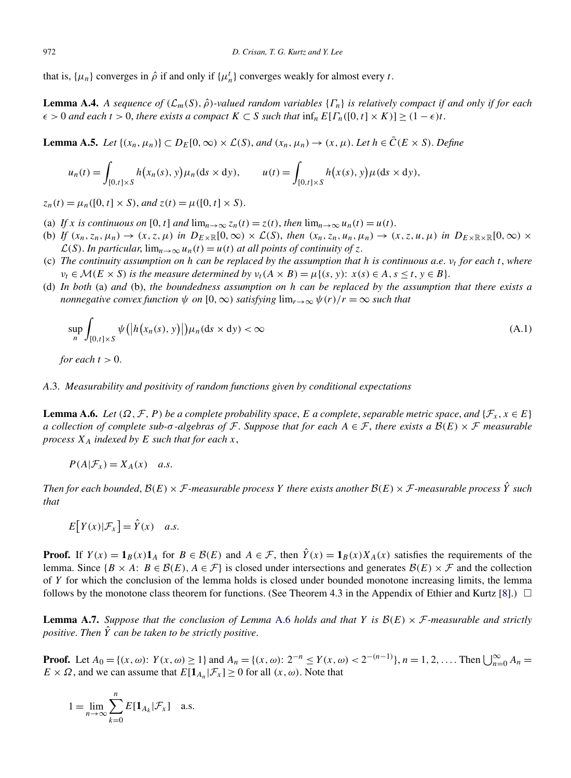<span id="page-26-0"></span>that is,  $\{\mu_n\}$  converges in  $\hat{\rho}$  if and only if  $\{\mu_n^t\}$  converges weakly for almost every *t*.

**Lemma A.4.** A sequence of  $(\mathcal{L}_m(S), \hat{\rho})$ -valued random variables  $\{\Gamma_n\}$  is relatively compact if and only if for each  $\epsilon > 0$  *and each*  $t > 0$ , *there exists a compact*  $K \subset S$  *such that*  $\inf_n E[F_n([0, t] \times K)] \geq (1 - \epsilon)t$ .

**Lemma A.5.** *Let*  $\{(x_n, \mu_n)\}\subset D_E[0, \infty) \times \mathcal{L}(S)$ , *and*  $(x_n, \mu_n) \to (x, \mu)$ . *Let*  $h \in \overline{C}(E \times S)$ . *Define* 

$$
u_n(t) = \int_{[0,t] \times S} h(x_n(s), y) \mu_n(ds \times dy), \qquad u(t) = \int_{[0,t] \times S} h(x(s), y) \mu(ds \times dy),
$$

 $z_n(t) = \mu_n([0, t] \times S)$ , *and*  $z(t) = \mu([0, t] \times S)$ .

- (a) If *x* is continuous on [0, t] and  $\lim_{n\to\infty} z_n(t) = z(t)$ , then  $\lim_{n\to\infty} u_n(t) = u(t)$ .
- (b) *If*  $(x_n, z_n, \mu_n) \rightarrow (x, z, \mu)$  *in*  $D_{E \times \mathbb{R}}[0, \infty) \times \mathcal{L}(S)$ , *then*  $(x_n, z_n, u_n, \mu_n) \rightarrow (x, z, u, \mu)$  *in*  $D_{E \times \mathbb{R} \times \mathbb{R}}[0, \infty) \times$  $\mathcal{L}(S)$ . In particular,  $\lim_{n\to\infty} u_n(t) = u(t)$  at all points of continuity of *z*.
- (c) *The continuity assumption on h can be replaced by the assumption that h is continuous a*.*e*. *νt for each t*, *where*  $\nu_t \in \mathcal{M}(E \times S)$  *is the measure determined by*  $\nu_t(A \times B) = \mu\{(s, y): x(s) \in A, s \leq t, y \in B\}$ .
- (d) *In both* (a) *and* (b), *the boundedness assumption on h can be replaced by the assumption that there exists a nonnegative convex function*  $\psi$  *on* [0*,*  $\infty$ *) satisfying*  $\lim_{r\to\infty} \psi(r)/r = \infty$  *such that*

$$
\sup_{n} \int_{[0,t] \times S} \psi\big( \big| h\big(x_n(s), y\big) \big| \big) \mu_n(ds \times dy) < \infty \tag{A.1}
$$

*for each*  $t > 0$ .

## *A*.3. *Measurability and positivity of random functions given by conditional expectations*

**Lemma A.6.** *Let*  $(\Omega, \mathcal{F}, P)$  *be a complete probability space, E a complete, separable metric space, and*  $\{\mathcal{F}_x, x \in E\}$ *a collection of complete sub-* $\sigma$ -algebras of F. Suppose that for each  $A \in \mathcal{F}$ , there exists a  $B(E) \times \mathcal{F}$  measurable *process*  $X_A$  *indexed by*  $E$  *such that for each*  $x$ ,

$$
P(A|\mathcal{F}_x) = X_A(x) \quad a.s.
$$

*Then for each bounded,*  $B(E) \times F$ *-measurable process Y there exists another*  $B(E) \times F$ *-measurable process*  $\hat{Y}$  *such that*

$$
E[Y(x)|\mathcal{F}_x] = \hat{Y}(x) \quad a.s.
$$

**Proof.** If  $Y(x) = \mathbf{1}_B(x)\mathbf{1}_A$  for  $B \in \mathcal{B}(E)$  and  $A \in \mathcal{F}$ , then  $\hat{Y}(x) = \mathbf{1}_B(x)X_A(x)$  satisfies the requirements of the lemma. Since  $\{B \times A: B \in \mathcal{B}(E), A \in \mathcal{F}\}\$ is closed under intersections and generates  $\mathcal{B}(E) \times \mathcal{F}$  and the collection of *Y* for which the conclusion of the lemma holds is closed under bounded monotone increasing limits, the lemma follows by the monotone class theorem for functions. (See Theorem 4.3 in the Appendix of Ethier and Kurtz [\[8\]](#page-27-0).)  $\Box$ 

**Lemma A.7.** Suppose that the conclusion of Lemma A.6 holds and that Y is  $\mathcal{B}(E) \times \mathcal{F}$ -measurable and strictly *positive*. *Then Y*ˆ *can be taken to be strictly positive*.

**Proof.** Let  $A_0 = \{(x, \omega): Y(x, \omega) \ge 1\}$  and  $A_n = \{(x, \omega): 2^{-n} \le Y(x, \omega) < 2^{-(n-1)}\}$ ,  $n = 1, 2, \ldots$ . Then  $\bigcup_{n=0}^{\infty} A_n =$  $E \times \Omega$ , and we can assume that  $E[\mathbf{1}_{A_n} | \mathcal{F}_x] \ge 0$  for all  $(x, \omega)$ . Note that

$$
1 = \lim_{n \to \infty} \sum_{k=0}^{n} E[\mathbf{1}_{A_k} | \mathcal{F}_x] \quad \text{a.s.}
$$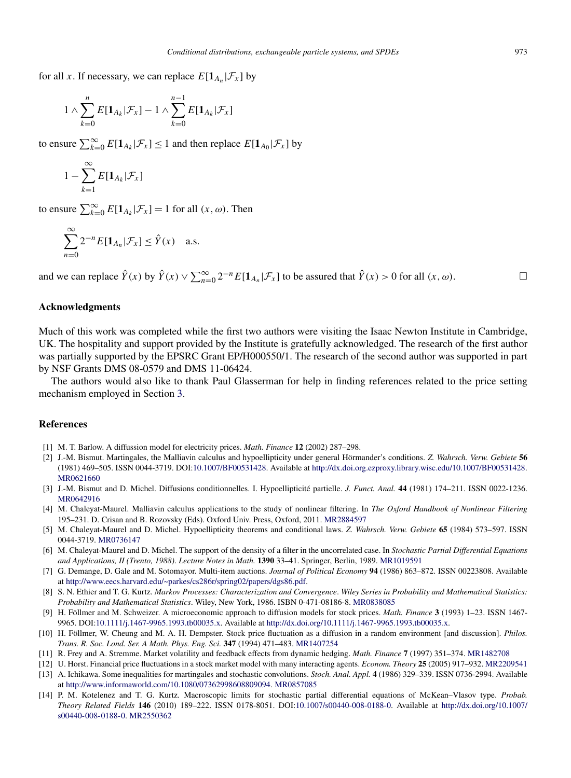<span id="page-27-0"></span>for all *x*. If necessary, we can replace  $E[\mathbf{1}_{A_n} | \mathcal{F}_x]$  by

$$
1 \wedge \sum_{k=0}^{n} E[\mathbf{1}_{A_k}|\mathcal{F}_x] - 1 \wedge \sum_{k=0}^{n-1} E[\mathbf{1}_{A_k}|\mathcal{F}_x]
$$

to ensure  $\sum_{k=0}^{\infty} E[\mathbf{1}_{A_k} | \mathcal{F}_x] \le 1$  and then replace  $E[\mathbf{1}_{A_0} | \mathcal{F}_x]$  by

$$
1 - \sum_{k=1}^{\infty} E[\mathbf{1}_{A_k} | \mathcal{F}_x]
$$

to ensure  $\sum_{k=0}^{\infty} E[\mathbf{1}_{A_k} | \mathcal{F}_x] = 1$  for all  $(x, \omega)$ . Then

$$
\sum_{n=0}^{\infty} 2^{-n} E[\mathbf{1}_{A_n} | \mathcal{F}_x] \le \hat{Y}(x) \quad \text{a.s.}
$$

and we can replace  $\hat{Y}(x)$  by  $\hat{Y}(x) \vee \sum_{n=0}^{\infty} 2^{-n} E[\mathbf{1}_{A_n} | \mathcal{F}_x]$  to be assured that  $\hat{Y}(x) > 0$  for all  $(x, \omega)$ .  $\Box$ 

# **Acknowledgments**

Much of this work was completed while the first two authors were visiting the Isaac Newton Institute in Cambridge, UK. The hospitality and support provided by the Institute is gratefully acknowledged. The research of the first author was partially supported by the EPSRC Grant EP/H000550/1. The research of the second author was supported in part by NSF Grants DMS 08-0579 and DMS 11-06424.

The authors would also like to thank Paul Glasserman for help in finding references related to the price setting mechanism employed in Section [3.](#page-9-0)

#### **References**

- [1] M. T. Barlow. A diffussion model for electricity prices. *Math. Finance* **12** (2002) 287–298.
- [2] J.-M. Bismut. Martingales, the Malliavin calculus and hypoellipticity under general Hörmander's conditions. *Z. Wahrsch. Verw. Gebiete* **56** (1981) 469–505. ISSN 0044-3719. DOI[:10.1007/BF00531428.](http://dx.doi.org/10.1007/BF00531428) Available at [http://dx.doi.org.ezproxy.library.wisc.edu/10.1007/BF00531428.](http://dx.doi.org.ezproxy.library.wisc.edu/10.1007/BF00531428) [MR0621660](http://www.ams.org/mathscinet-getitem?mr=0621660)
- [3] J.-M. Bismut and D. Michel. Diffusions conditionnelles. I. Hypoellipticité partielle. *J. Funct. Anal.* **44** (1981) 174–211. ISSN 0022-1236. [MR0642916](http://www.ams.org/mathscinet-getitem?mr=0642916)
- [4] M. Chaleyat-Maurel. Malliavin calculus applications to the study of nonlinear filtering. In *The Oxford Handbook of Nonlinear Filtering* 195–231. D. Crisan and B. Rozovsky (Eds). Oxford Univ. Press, Oxford, 2011. [MR2884597](http://www.ams.org/mathscinet-getitem?mr=2884597)
- [5] M. Chaleyat-Maurel and D. Michel. Hypoellipticity theorems and conditional laws. *Z. Wahrsch. Verw. Gebiete* **65** (1984) 573–597. ISSN 0044-3719. [MR0736147](http://www.ams.org/mathscinet-getitem?mr=0736147)
- [6] M. Chaleyat-Maurel and D. Michel. The support of the density of a filter in the uncorrelated case. In *Stochastic Partial Differential Equations and Applications, II (Trento, 1988)*. *Lecture Notes in Math.* **1390** 33–41. Springer, Berlin, 1989. [MR1019591](http://www.ams.org/mathscinet-getitem?mr=1019591)
- [7] G. Demange, D. Gale and M. Sotomayor. Multi-item auctions. *Journal of Political Economy* **94** (1986) 863–872. ISSN 00223808. Available at [http://www.eecs.harvard.edu/~parkes/cs286r/spring02/papers/dgs86.pdf.](http://www.eecs.harvard.edu/~parkes/cs286r/spring02/papers/dgs86.pdf)
- [8] S. N. Ethier and T. G. Kurtz. *Markov Processes: Characterization and Convergence*. *Wiley Series in Probability and Mathematical Statistics: Probability and Mathematical Statistics*. Wiley, New York, 1986. ISBN 0-471-08186-8. [MR0838085](http://www.ams.org/mathscinet-getitem?mr=0838085)
- [9] H. Föllmer and M. Schweizer. A microeconomic approach to diffusion models for stock prices. *Math. Finance* **3** (1993) 1–23. ISSN 1467- 9965. DOI[:10.1111/j.1467-9965.1993.tb00035.x](http://dx.doi.org/10.1111/j.1467-9965.1993.tb00035.x). Available at <http://dx.doi.org/10.1111/j.1467-9965.1993.tb00035.x>.
- [10] H. Föllmer, W. Cheung and M. A. H. Dempster. Stock price fluctuation as a diffusion in a random environment [and discussion]. *Philos. Trans. R. Soc. Lond. Ser. A Math. Phys. Eng. Sci.* **347** (1994) 471–483. [MR1407254](http://www.ams.org/mathscinet-getitem?mr=1407254)
- [11] R. Frey and A. Stremme. Market volatility and feedback effects from dynamic hedging. *Math. Finance* **7** (1997) 351–374. [MR1482708](http://www.ams.org/mathscinet-getitem?mr=1482708)
- [12] U. Horst. Financial price fluctuations in a stock market model with many interacting agents. *Econom. Theory* **25** (2005) 917–932. [MR2209541](http://www.ams.org/mathscinet-getitem?mr=2209541)
- [13] A. Ichikawa. Some inequalities for martingales and stochastic convolutions. *Stoch. Anal. Appl.* **4** (1986) 329–339. ISSN 0736-2994. Available at [http://www.informaworld.com/10.1080/07362998608809094.](http://www.informaworld.com/10.1080/07362998608809094) [MR0857085](http://www.ams.org/mathscinet-getitem?mr=0857085)
- [14] P. M. Kotelenez and T. G. Kurtz. Macroscopic limits for stochastic partial differential equations of McKean–Vlasov type. *Probab. Theory Related Fields* **146** (2010) 189–222. ISSN 0178-8051. DOI[:10.1007/s00440-008-0188-0.](http://dx.doi.org/10.1007/s00440-008-0188-0) Available at [http://dx.doi.org/10.1007/](http://dx.doi.org/10.1007/s00440-008-0188-0) [s00440-008-0188-0](http://dx.doi.org/10.1007/s00440-008-0188-0). [MR2550362](http://www.ams.org/mathscinet-getitem?mr=2550362)